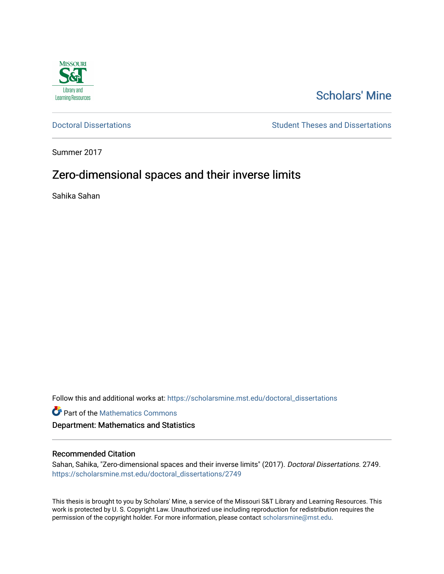

# [Scholars' Mine](https://scholarsmine.mst.edu/)

[Doctoral Dissertations](https://scholarsmine.mst.edu/doctoral_dissertations) **Student Theses and Dissertations** Student Theses and Dissertations

Summer 2017

# Zero-dimensional spaces and their inverse limits

Sahika Sahan

Follow this and additional works at: [https://scholarsmine.mst.edu/doctoral\\_dissertations](https://scholarsmine.mst.edu/doctoral_dissertations?utm_source=scholarsmine.mst.edu%2Fdoctoral_dissertations%2F2749&utm_medium=PDF&utm_campaign=PDFCoverPages)

**Part of the [Mathematics Commons](http://network.bepress.com/hgg/discipline/174?utm_source=scholarsmine.mst.edu%2Fdoctoral_dissertations%2F2749&utm_medium=PDF&utm_campaign=PDFCoverPages)** 

Department: Mathematics and Statistics

## Recommended Citation

Sahan, Sahika, "Zero-dimensional spaces and their inverse limits" (2017). Doctoral Dissertations. 2749. [https://scholarsmine.mst.edu/doctoral\\_dissertations/2749](https://scholarsmine.mst.edu/doctoral_dissertations/2749?utm_source=scholarsmine.mst.edu%2Fdoctoral_dissertations%2F2749&utm_medium=PDF&utm_campaign=PDFCoverPages)

This thesis is brought to you by Scholars' Mine, a service of the Missouri S&T Library and Learning Resources. This work is protected by U. S. Copyright Law. Unauthorized use including reproduction for redistribution requires the permission of the copyright holder. For more information, please contact [scholarsmine@mst.edu](mailto:scholarsmine@mst.edu).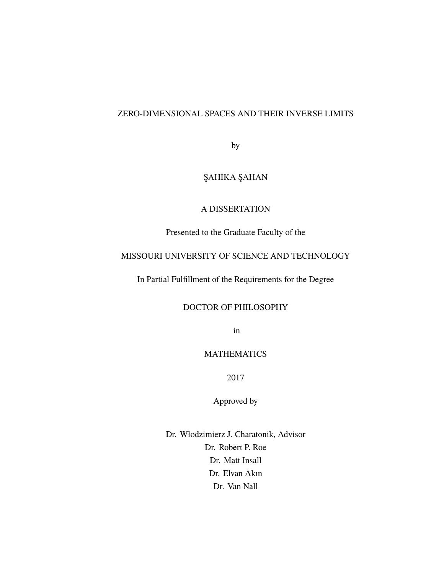## ZERO-DIMENSIONAL SPACES AND THEIR INVERSE LIMITS

by

## ŞAHİKA ŞAHAN

## A DISSERTATION

Presented to the Graduate Faculty of the

## MISSOURI UNIVERSITY OF SCIENCE AND TECHNOLOGY

In Partial Fulfillment of the Requirements for the Degree

## DOCTOR OF PHILOSOPHY

in

## MATHEMATICS

2017

Approved by

Dr. Włodzimierz J. Charatonik, Advisor Dr. Robert P. Roe Dr. Matt Insall Dr. Elvan Akın Dr. Van Nall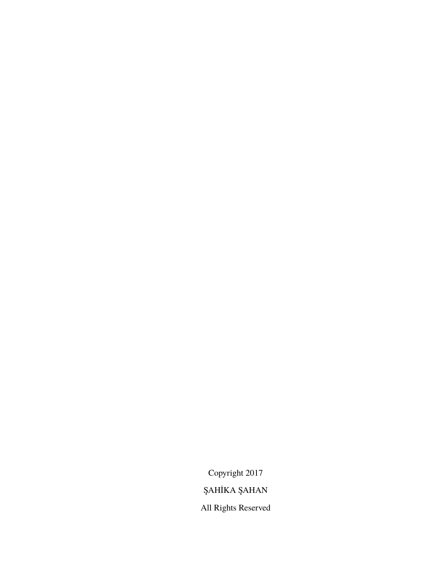Copyright 2017 ŞAHİKA ŞAHAN All Rights Reserved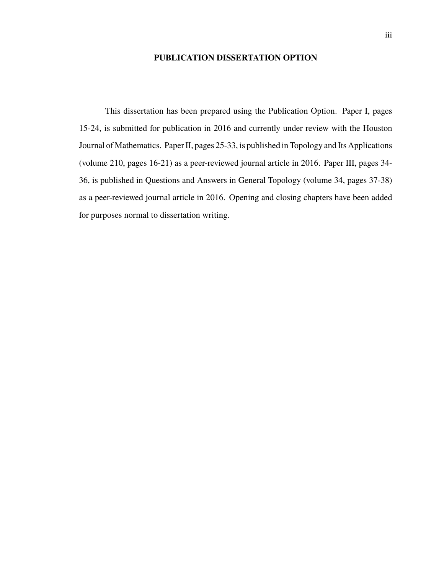## **PUBLICATION DISSERTATION OPTION**

This dissertation has been prepared using the Publication Option. Paper I, pages 15-24, is submitted for publication in 2016 and currently under review with the Houston Journal of Mathematics. Paper II, pages 25-33, is published in Topology and Its Applications (volume 210, pages 16-21) as a peer-reviewed journal article in 2016. Paper III, pages 34- 36, is published in Questions and Answers in General Topology (volume 34, pages 37-38) as a peer-reviewed journal article in 2016. Opening and closing chapters have been added for purposes normal to dissertation writing.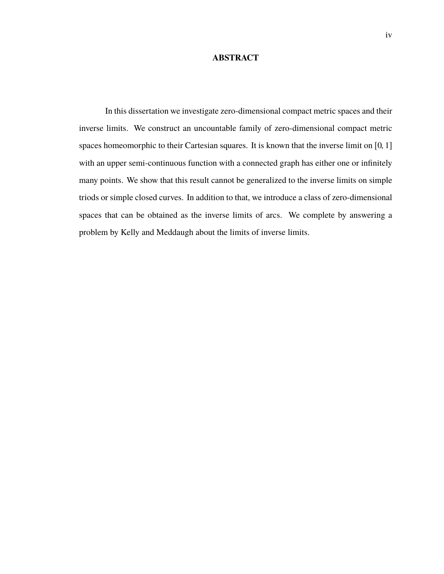## **ABSTRACT**

In this dissertation we investigate zero-dimensional compact metric spaces and their inverse limits. We construct an uncountable family of zero-dimensional compact metric spaces homeomorphic to their Cartesian squares. It is known that the inverse limit on [0, 1] with an upper semi-continuous function with a connected graph has either one or infinitely many points. We show that this result cannot be generalized to the inverse limits on simple triods or simple closed curves. In addition to that, we introduce a class of zero-dimensional spaces that can be obtained as the inverse limits of arcs. We complete by answering a problem by Kelly and Meddaugh about the limits of inverse limits.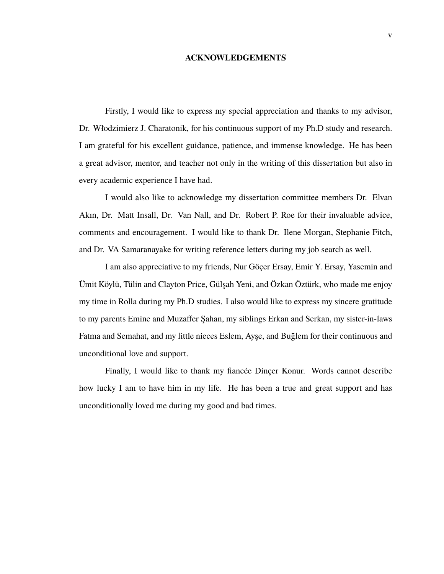#### **ACKNOWLEDGEMENTS**

Firstly, I would like to express my special appreciation and thanks to my advisor, Dr. Włodzimierz J. Charatonik, for his continuous support of my Ph.D study and research. I am grateful for his excellent guidance, patience, and immense knowledge. He has been a great advisor, mentor, and teacher not only in the writing of this dissertation but also in every academic experience I have had.

I would also like to acknowledge my dissertation committee members Dr. Elvan Akın, Dr. Matt Insall, Dr. Van Nall, and Dr. Robert P. Roe for their invaluable advice, comments and encouragement. I would like to thank Dr. Ilene Morgan, Stephanie Fitch, and Dr. VA Samaranayake for writing reference letters during my job search as well.

I am also appreciative to my friends, Nur Göçer Ersay, Emir Y. Ersay, Yasemin and Ümit Köylü, Tülin and Clayton Price, Gülşah Yeni, and Özkan Öztürk, who made me enjoy my time in Rolla during my Ph.D studies. I also would like to express my sincere gratitude to my parents Emine and Muzaffer Şahan, my siblings Erkan and Serkan, my sister-in-laws Fatma and Semahat, and my little nieces Eslem, Ayşe, and Buglem for their continuous and ¯ unconditional love and support.

Finally, I would like to thank my fiancée Dinçer Konur. Words cannot describe how lucky I am to have him in my life. He has been a true and great support and has unconditionally loved me during my good and bad times.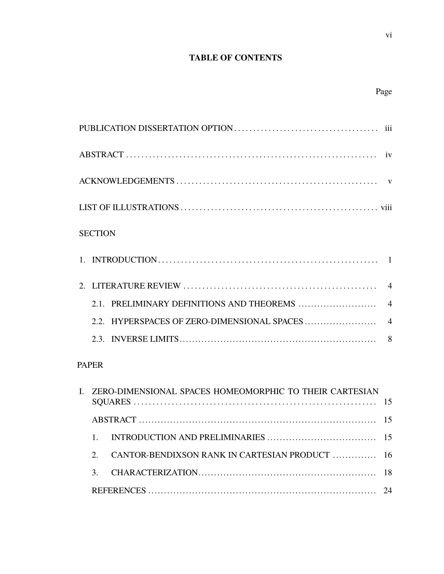## **TABLE OF CONTENTS**

## Page

| <b>SECTION</b> |  |
|----------------|--|
|                |  |
|                |  |
|                |  |
|                |  |
|                |  |
|                |  |

## PAPER

|  | I. ZERO-DIMENSIONAL SPACES HOMEOMORPHIC TO THEIR CARTESIAN |  |  |
|--|------------------------------------------------------------|--|--|
|  |                                                            |  |  |
|  |                                                            |  |  |
|  |                                                            |  |  |
|  | CANTOR-BENDIXSON RANK IN CARTESIAN PRODUCT  16             |  |  |
|  |                                                            |  |  |
|  |                                                            |  |  |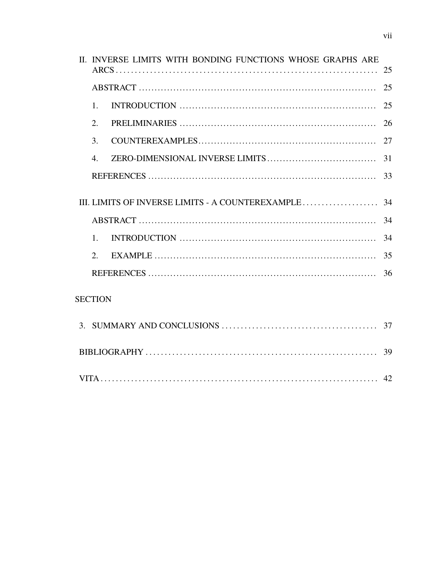|                | II. INVERSE LIMITS WITH BONDING FUNCTIONS WHOSE GRAPHS ARE |    |
|----------------|------------------------------------------------------------|----|
|                |                                                            |    |
|                |                                                            | 25 |
| $\mathbf{1}$ . |                                                            | 25 |
| 2.             |                                                            | 26 |
| 3.             |                                                            | 27 |
| $\mathbf{4}$ . |                                                            | 31 |
|                |                                                            | 33 |
|                |                                                            |    |
|                |                                                            |    |
|                |                                                            | 34 |
| 1 <sub>1</sub> |                                                            | 34 |
| 2.             |                                                            | 35 |
|                |                                                            | 36 |
| <b>SECTION</b> |                                                            |    |
|                |                                                            |    |
|                |                                                            |    |
|                |                                                            |    |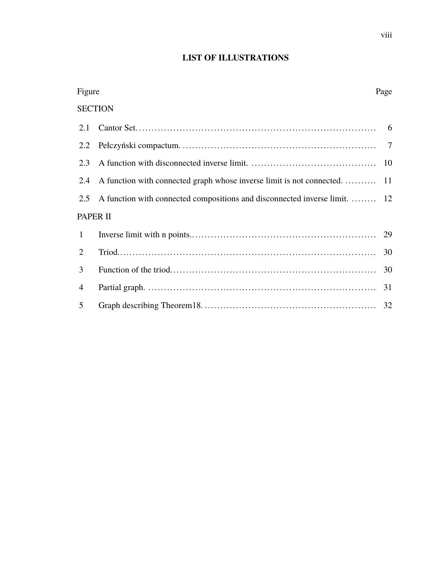## **LIST OF ILLUSTRATIONS**

| Figure         |                                                                            |    |
|----------------|----------------------------------------------------------------------------|----|
|                | <b>SECTION</b>                                                             |    |
| 2.1            |                                                                            |    |
| 2.2            |                                                                            |    |
| 2.3            |                                                                            |    |
| 2.4            | A function with connected graph whose inverse limit is not connected.  11  |    |
| 2.5            | A function with connected compositions and disconnected inverse limit.  12 |    |
|                | PAPER II                                                                   |    |
| $\mathbf{1}$   |                                                                            | 29 |
| 2              |                                                                            | 30 |
| 3              |                                                                            | 30 |
| $\overline{4}$ |                                                                            | 31 |
| 5              |                                                                            | 32 |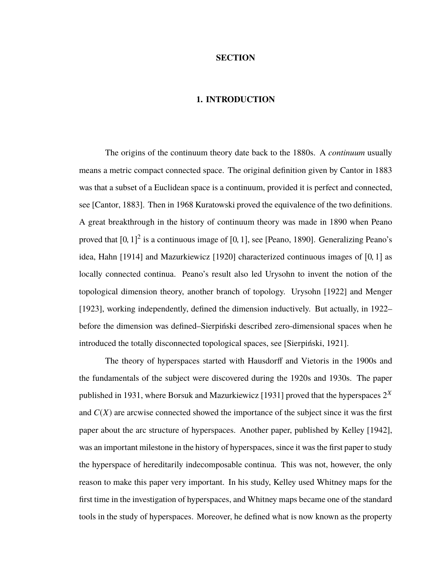### **SECTION**

### **1. INTRODUCTION**

The origins of the continuum theory date back to the 1880s. A *continuum* usually means a metric compact connected space. The original definition given by Cantor in 1883 was that a subset of a Euclidean space is a continuum, provided it is perfect and connected, see [Cantor, 1883]. Then in 1968 Kuratowski proved the equivalence of the two definitions. A great breakthrough in the history of continuum theory was made in 1890 when Peano proved that  $[0, 1]^2$  is a continuous image of  $[0, 1]$ , see [Peano, 1890]. Generalizing Peano's idea, Hahn [1914] and Mazurkiewicz [1920] characterized continuous images of [0, <sup>1</sup>] as locally connected continua. Peano's result also led Urysohn to invent the notion of the topological dimension theory, another branch of topology. Urysohn [1922] and Menger [1923], working independently, defined the dimension inductively. But actually, in 1922– before the dimension was defined–Sierpiński described zero-dimensional spaces when he introduced the totally disconnected topological spaces, see [Sierpiński, 1921].

The theory of hyperspaces started with Hausdorff and Vietoris in the 1900s and the fundamentals of the subject were discovered during the 1920s and 1930s. The paper published in 1931, where Borsuk and Mazurkiewicz [1931] proved that the hyperspaces  $2^X$ and  $C(X)$  are arcwise connected showed the importance of the subject since it was the first paper about the arc structure of hyperspaces. Another paper, published by Kelley [1942], was an important milestone in the history of hyperspaces, since it was the first paper to study the hyperspace of hereditarily indecomposable continua. This was not, however, the only reason to make this paper very important. In his study, Kelley used Whitney maps for the first time in the investigation of hyperspaces, and Whitney maps became one of the standard tools in the study of hyperspaces. Moreover, he defined what is now known as the property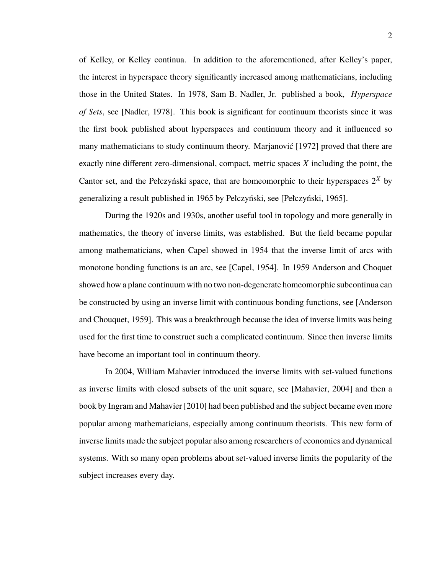of Kelley, or Kelley continua. In addition to the aforementioned, after Kelley's paper, the interest in hyperspace theory significantly increased among mathematicians, including those in the United States. In 1978, Sam B. Nadler, Jr. published a book, *Hyperspace of Sets*, see [Nadler, 1978]. This book is significant for continuum theorists since it was the first book published about hyperspaces and continuum theory and it influenced so many mathematicians to study continuum theory. Marjanović [1972] proved that there are exactly nine different zero-dimensional, compact, metric spaces *X* including the point, the Cantor set, and the Pełczyński space, that are homeomorphic to their hyperspaces  $2^X$  by generalizing a result published in 1965 by Pełczyński, see [Pełczyński, 1965].

During the 1920s and 1930s, another useful tool in topology and more generally in mathematics, the theory of inverse limits, was established. But the field became popular among mathematicians, when Capel showed in 1954 that the inverse limit of arcs with monotone bonding functions is an arc, see [Capel, 1954]. In 1959 Anderson and Choquet showed how a plane continuum with no two non-degenerate homeomorphic subcontinua can be constructed by using an inverse limit with continuous bonding functions, see [Anderson and Chouquet, 1959]. This was a breakthrough because the idea of inverse limits was being used for the first time to construct such a complicated continuum. Since then inverse limits have become an important tool in continuum theory.

In 2004, William Mahavier introduced the inverse limits with set-valued functions as inverse limits with closed subsets of the unit square, see [Mahavier, 2004] and then a book by Ingram and Mahavier [2010] had been published and the subject became even more popular among mathematicians, especially among continuum theorists. This new form of inverse limits made the subject popular also among researchers of economics and dynamical systems. With so many open problems about set-valued inverse limits the popularity of the subject increases every day.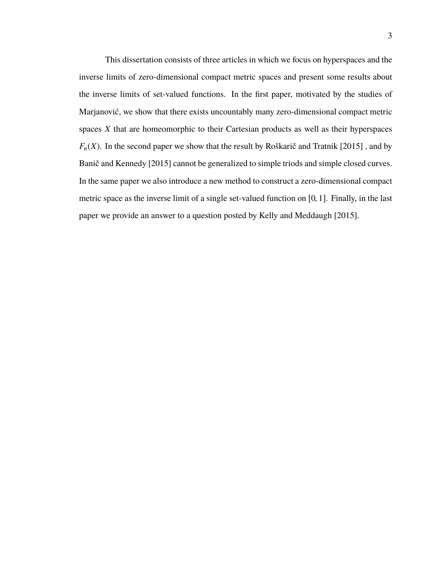This dissertation consists of three articles in which we focus on hyperspaces and the inverse limits of zero-dimensional compact metric spaces and present some results about the inverse limits of set-valued functions. In the first paper, motivated by the studies of Marjanović, we show that there exists uncountably many zero-dimensional compact metric spaces *X* that are homeomorphic to their Cartesian products as well as their hyperspaces  $F_n(X)$ . In the second paper we show that the result by Roškarič and Tratnik [2015], and by Banič and Kennedy [2015] cannot be generalized to simple triods and simple closed curves. In the same paper we also introduce a new method to construct a zero-dimensional compact metric space as the inverse limit of a single set-valued function on [0, <sup>1</sup>]. Finally, in the last paper we provide an answer to a question posted by Kelly and Meddaugh [2015].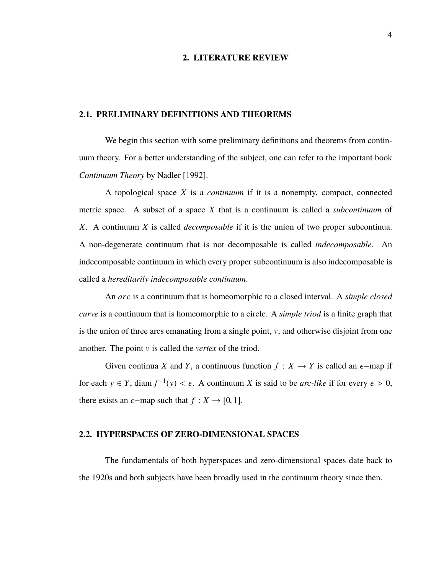#### **2. LITERATURE REVIEW**

#### **2.1. PRELIMINARY DEFINITIONS AND THEOREMS**

We begin this section with some preliminary definitions and theorems from continuum theory. For a better understanding of the subject, one can refer to the important book *Continuum Theory* by Nadler [1992].

A topological space *X* is a *continuum* if it is a nonempty, compact, connected metric space. A subset of a space *X* that is a continuum is called a *subcontinuum* of *X*. A continuum *X* is called *decomposable* if it is the union of two proper subcontinua. A non-degenerate continuum that is not decomposable is called *indecomposable*. An indecomposable continuum in which every proper subcontinuum is also indecomposable is called a *hereditarily indecomposable continuum*.

An *arc* is a continuum that is homeomorphic to a closed interval. A *simple closed curve* is a continuum that is homeomorphic to a circle. A *simple triod* is a finite graph that is the union of three arcs emanating from a single point,  $v$ , and otherwise disjoint from one another. The point v is called the *vertex* of the triod.

Given continua *X* and *Y*, a continuous function  $f : X \to Y$  is called an  $\epsilon$ -map if for each  $y \in Y$ , diam  $f^{-1}(y) < \epsilon$ . A continuum *X* is said to be *arc-like* if for every  $\epsilon > 0$ , there exists an  $\epsilon$ -map such that  $f : X \to [0, 1]$ .

#### **2.2. HYPERSPACES OF ZERO-DIMENSIONAL SPACES**

The fundamentals of both hyperspaces and zero-dimensional spaces date back to the 1920s and both subjects have been broadly used in the continuum theory since then.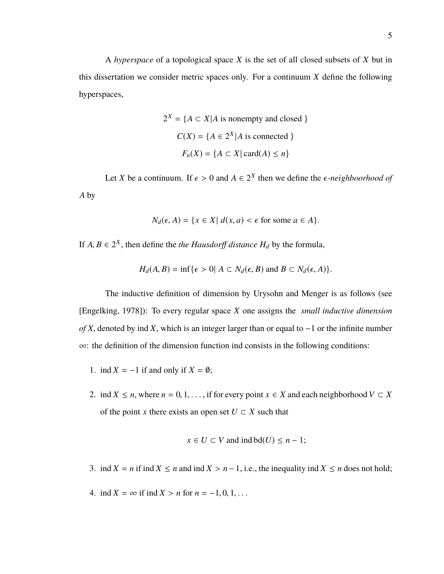A *hyperspace* of a topological space *X* is the set of all closed subsets of *X* but in this dissertation we consider metric spaces only. For a continuum *X* define the following hyperspaces,

$$
2^{X} = \{ A \subset X | A \text{ is nonempty and closed } \}
$$

$$
C(X) = \{ A \in 2^{X} | A \text{ is connected } \}
$$

$$
F_n(X) = \{ A \subset X | \text{ card}(A) \le n \}
$$

Let *X* be a continuum. If  $\epsilon > 0$  and  $A \in 2^X$  then we define the  $\epsilon$ -neighboorhood of *A* by

$$
N_d(\epsilon, A) = \{x \in X | d(x, a) < \epsilon \text{ for some } a \in A\}.
$$

If  $A, B \in 2^X$ , then define the *the Hausdorff distance*  $H_d$  by the formula,

$$
H_d(A, B) = \inf \{ \epsilon > 0 | A \subset N_d(\epsilon, B) \text{ and } B \subset N_d(\epsilon, A) \}.
$$

The inductive definition of dimension by Urysohn and Menger is as follows (see [Engelking, 1978]): To every regular space *X* one assigns the *small inductive dimension of X*, denoted by ind *X*, which is an integer larger than or equal to −1 or the infinite number ∞: the definition of the dimension function ind consists in the following conditions:

- 1. ind  $X = -1$  if and only if  $X = \emptyset$ ;
- 2. ind *X*  $\leq n$ , where *n* = 0, 1, ..., if for every point *x*  $\in$  *X* and each neighborhood  $V \subset X$ of the point *x* there exists an open set  $U \subset X$  such that

$$
x \in U \subset V \text{ and ind } bd(U) \leq n-1;
$$

- 3. ind  $X = n$  if ind  $X \le n$  and ind  $X > n 1$ , i.e., the inequality ind  $X \le n$  does not hold;
- 4. ind  $X = \infty$  if ind  $X > n$  for  $n = -1, 0, 1, ...$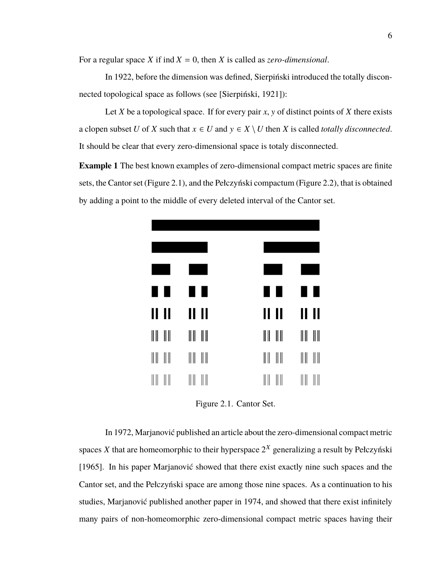For a regular space *X* if ind  $X = 0$ , then *X* is called as *zero-dimensional*.

In 1922, before the dimension was defined, Sierpiński introduced the totally disconnected topological space as follows (see [Sierpiński, 1921]):

Let *X* be a topological space. If for every pair *x*, *y* of distinct points of *X* there exists a clopen subset *U* of *X* such that  $x \in U$  and  $y \in X \setminus U$  then *X* is called *totally disconnected*. It should be clear that every zero-dimensional space is totaly disconnected.

**Example 1** The best known examples of zero-dimensional compact metric spaces are finite sets, the Cantor set (Figure 2.1), and the Pełczyński compactum (Figure 2.2), that is obtained by adding a point to the middle of every deleted interval of the Cantor set.

| H     |             | H             | H            | H<br>г                 |
|-------|-------------|---------------|--------------|------------------------|
| 11 11 |             | 11 II         | 11 II        | 11 II                  |
| ║║    | $\parallel$ | ║║<br>$\  \ $ | $\  \ $<br>║ | $\parallel$<br>$\  \ $ |
| ║     |             | ║║            |              | ║║                     |
| Ш     | Ш           | Ш             | Ш            | ║║<br>Ш                |

Figure 2.1. Cantor Set.

In 1972, Marjanović published an article about the zero-dimensional compact metric spaces  $X$  that are homeomorphic to their hyperspace  $2^X$  generalizing a result by Pełczyński [1965]. In his paper Marjanović showed that there exist exactly nine such spaces and the Cantor set, and the Pełczyński space are among those nine spaces. As a continuation to his studies, Marjanović published another paper in 1974, and showed that there exist infinitely many pairs of non-homeomorphic zero-dimensional compact metric spaces having their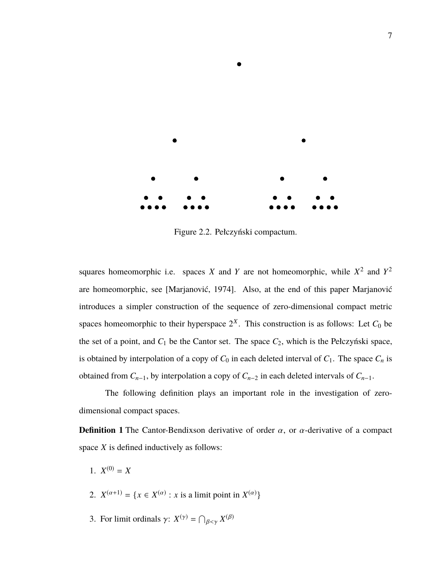

Figure 2.2. Pełczyński compactum.

squares homeomorphic i.e. spaces *X* and *Y* are not homeomorphic, while  $X^2$  and  $Y^2$ are homeomorphic, see [Marjanović, 1974]. Also, at the end of this paper Marjanović introduces a simpler construction of the sequence of zero-dimensional compact metric spaces homeomorphic to their hyperspace  $2^X$ . This construction is as follows: Let  $C_0$  be the set of a point, and  $C_1$  be the Cantor set. The space  $C_2$ , which is the Pełczyński space, is obtained by interpolation of a copy of  $C_0$  in each deleted interval of  $C_1$ . The space  $C_n$  is obtained from  $C_{n-1}$ , by interpolation a copy of  $C_{n-2}$  in each deleted intervals of  $C_{n-1}$ .

The following definition plays an important role in the investigation of zerodimensional compact spaces.

**Definition 1** The Cantor-Bendixson derivative of order  $\alpha$ , or  $\alpha$ -derivative of a compact space *X* is defined inductively as follows:

- 1.  $X^{(0)} = X$
- 2.  $X^{(\alpha+1)} = \{x \in X^{(\alpha)} : x \text{ is a limit point in } X^{(\alpha)}\}\$
- 3. For limit ordinals  $\gamma: X^{(\gamma)} = \bigcap_{\beta < \gamma} X^{(\beta)}$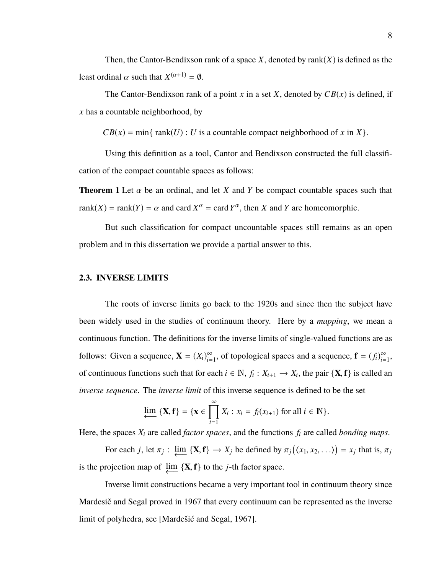Then, the Cantor-Bendixson rank of a space  $X$ , denoted by rank $(X)$  is defined as the least ordinal  $\alpha$  such that  $X^{(\alpha+1)} = \emptyset$ .

The Cantor-Bendixson rank of a point *x* in a set *X*, denoted by  $CB(x)$  is defined, if *x* has a countable neighborhood, by

 $CB(x) = min\{rank(U) : U$  is a countable compact neighborhood of *x* in *X* $\}$ .

Using this definition as a tool, Cantor and Bendixson constructed the full classification of the compact countable spaces as follows:

**Theorem 1** Let  $\alpha$  be an ordinal, and let *X* and *Y* be compact countable spaces such that rank(*X*) = rank(*Y*) =  $\alpha$  and card  $X^{\alpha}$  = card  $Y^{\alpha}$ , then *X* and *Y* are homeomorphic.

But such classification for compact uncountable spaces still remains as an open problem and in this dissertation we provide a partial answer to this.

#### **2.3. INVERSE LIMITS**

The roots of inverse limits go back to the 1920s and since then the subject have been widely used in the studies of continuum theory. Here by a *mapping*, we mean a continuous function. The definitions for the inverse limits of single-valued functions are as follows: Given a sequence,  $\mathbf{X} = (X_i)_{i=1}^{\infty}$  $\sum_{i=1}^{\infty}$ , of topological spaces and a sequence,  $\mathbf{f} = (f_i)_{i=1}^{\infty}$  $\sum_{i=1}^{\infty}$ of continuous functions such that for each  $i \in \mathbb{N}$ ,  $f_i: X_{i+1} \to X_i$ , the pair  $\{X, f\}$  is called an *inverse sequence*. The *inverse limit* of this inverse sequence is defined to be the set

$$
\varprojlim \{ \mathbf{X}, \mathbf{f} \} = \{ \mathbf{x} \in \prod_{i=1}^{\infty} X_i : x_i = f_i(x_{i+1}) \text{ for all } i \in \mathbb{N} \}.
$$

Here, the spaces *X<sup>i</sup>* are called *factor spaces*, and the functions *f<sup>i</sup>* are called *bonding maps*.

For each *j*, let  $\pi_j$ :  $\lim_{\longleftrightarrow} {\bf {X}, f} \rightarrow X_j$  be defined by  $\pi_j(\langle x_1, x_2, \ldots \rangle) = x_j$  that is,  $\pi_j$ is the projection map of  $\lim_{\longleftarrow} {\{X, f\}}$  to the *j*-th factor space.

Inverse limit constructions became a very important tool in continuum theory since Mardesič and Segal proved in 1967 that every continuum can be represented as the inverse limit of polyhedra, see [Mardešić and Segal, 1967].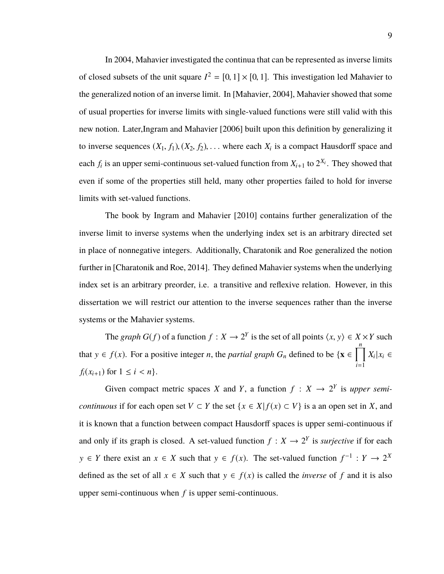In 2004, Mahavier investigated the continua that can be represented as inverse limits of closed subsets of the unit square  $I^2 = [0, 1] \times [0, 1]$ . This investigation led Mahavier to the generalized notion of an inverse limit. In [Mahavier, 2004], Mahavier showed that some of usual properties for inverse limits with single-valued functions were still valid with this new notion. Later,Ingram and Mahavier [2006] built upon this definition by generalizing it to inverse sequences  $(X_1, f_1), (X_2, f_2), \ldots$  where each  $X_i$  is a compact Hausdorff space and each  $f_i$  is an upper semi-continuous set-valued function from  $X_{i+1}$  to  $2^{X_i}$ . They showed that even if some of the properties still held, many other properties failed to hold for inverse limits with set-valued functions.

The book by Ingram and Mahavier [2010] contains further generalization of the inverse limit to inverse systems when the underlying index set is an arbitrary directed set in place of nonnegative integers. Additionally, Charatonik and Roe generalized the notion further in [Charatonik and Roe, 2014]. They defined Mahavier systems when the underlying index set is an arbitrary preorder, i.e. a transitive and reflexive relation. However, in this dissertation we will restrict our attention to the inverse sequences rather than the inverse systems or the Mahavier systems.

The *graph G*(*f*) of a function  $f : X \to 2^Y$  is the set of all points  $\langle x, y \rangle \in X \times Y$  such that  $y \in f(x)$ . For a positive integer *n*, the *partial graph*  $G_n$  defined to be  $\{x \in \prod^n$ *i*=1  $X_i | x_i \in$ *f*<sub>*i*</sub>( $x_{i+1}$ ) for  $1 \le i \le n$ }.

Given compact metric spaces *X* and *Y*, a function  $f : X \rightarrow 2^Y$  is upper semi*continuous* if for each open set  $V \subset Y$  the set  $\{x \in X | f(x) \subset V\}$  is a an open set in *X*, and it is known that a function between compact Hausdorff spaces is upper semi-continuous if and only if its graph is closed. A set-valued function  $f: X \to 2^Y$  is *surjective* if for each *y* ∈ *Y* there exist an *x* ∈ *X* such that *y* ∈ *f*(*x*). The set-valued function  $f^{-1}: Y \to 2^X$ defined as the set of all  $x \in X$  such that  $y \in f(x)$  is called the *inverse* of f and it is also upper semi-continuous when *f* is upper semi-continuous.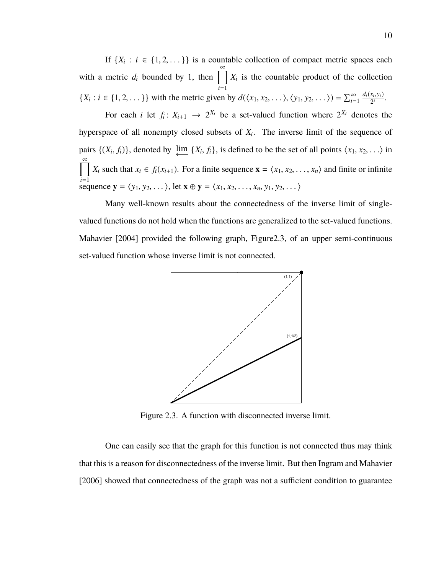If  $\{X_i : i \in \{1, 2, ...\} \}$  is a countable collection of compact metric spaces each with a metric  $d_i$  bounded by 1, then  $\prod^{\infty}$ *i*=1  $X_i$  is the countable product of the collection  $\{X_i : i \in \{1, 2, ...\} \}$  with the metric given by  $d(\langle x_1, x_2, ...\rangle, \langle y_1, y_2, ...\rangle) = \sum_{i=1}^{\infty}$  $\frac{d_i(x_i,y_i)}{2^i}$ .

For each *i* let  $f_i: X_{i+1} \rightarrow 2^{X_i}$  be a set-valued function where  $2^{X_i}$  denotes the hyperspace of all nonempty closed subsets of *X<sup>i</sup>* . The inverse limit of the sequence of pairs  $\{(X_i, f_i)\}\)$ , denoted by  $\varprojlim \{X_i, f_i\}$ , is defined to be the set of all points  $\langle x_1, x_2, \ldots \rangle$  in  $\sum_{i=1}^{\infty}$ sequence **y** =  $\langle y_1, y_2, \dots \rangle$ , let **x**  $\oplus$  **y** =  $\langle x_1, x_2, \dots, x_n, y_1, y_2, \dots \rangle$ *X<sub>i</sub>* such that  $x_i \in f_i(x_{i+1})$ . For a finite sequence  $\mathbf{x} = \langle x_1, x_2, \dots, x_n \rangle$  and finite or infinite

Many well-known results about the connectedness of the inverse limit of singlevalued functions do not hold when the functions are generalized to the set-valued functions. Mahavier [2004] provided the following graph, Figure2.3, of an upper semi-continuous set-valued function whose inverse limit is not connected.



Figure 2.3. A function with disconnected inverse limit.

One can easily see that the graph for this function is not connected thus may think that this is a reason for disconnectedness of the inverse limit. But then Ingram and Mahavier [2006] showed that connectedness of the graph was not a sufficient condition to guarantee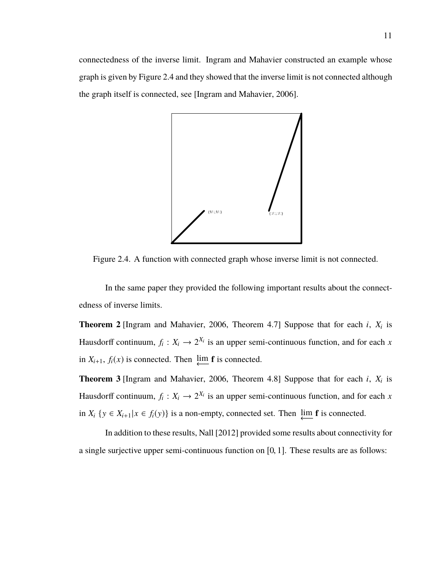11

connectedness of the inverse limit. Ingram and Mahavier constructed an example whose graph is given by Figure 2.4 and they showed that the inverse limit is not connected although the graph itself is connected, see [Ingram and Mahavier, 2006].



Figure 2.4. A function with connected graph whose inverse limit is not connected.

In the same paper they provided the following important results about the connectedness of inverse limits.

**Theorem 2** [Ingram and Mahavier, 2006, Theorem 4.7] Suppose that for each *i*, *X<sup>i</sup>* is Hausdorff continuum,  $f_i: X_i \to 2^{X_i}$  is an upper semi-continuous function, and for each *x* in  $X_{i+1}$ ,  $f_i(x)$  is connected. Then  $\downarrow \text{im } f$  is connected.

**Theorem 3** [Ingram and Mahavier, 2006, Theorem 4.8] Suppose that for each *i*, *X<sup>i</sup>* is Hausdorff continuum,  $f_i: X_i \to 2^{X_i}$  is an upper semi-continuous function, and for each *x* in *X<sub>i</sub>* {*y* ∈ *X<sub>i+1</sub>*| $x \in f_i(y)$ } is a non-empty, connected set. Then  $\downarrow \text{im } f$  is connected.

In addition to these results, Nall [2012] provided some results about connectivity for a single surjective upper semi-continuous function on [0, <sup>1</sup>]. These results are as follows: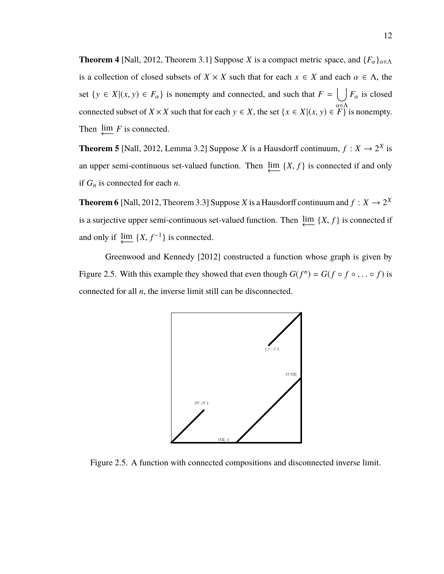**Theorem 4** [Nall, 2012, Theorem 3.1] Suppose *X* is a compact metric space, and  ${F_\alpha}_{\alpha \in \Lambda}$ is a collection of closed subsets of  $X \times X$  such that for each  $x \in X$  and each  $\alpha \in \Lambda$ , the set  $\{y \in X | (x, y) \in F_\alpha\}$  is nonempty and connected, and such that  $F = \bigcup_{\alpha \in \Lambda} F_\alpha$  is closed connected subset of *X* × *X* such that for each  $y \in X$ , the set  $\{x \in X | (x, y) \in \mathbb{F}\}\)$  is nonempty. Then  $\downarrow \text{im } F$  is connected.

**Theorem 5** [Nall, 2012, Lemma 3.2] Suppose *X* is a Hausdorff continuum,  $f: X \to 2^X$  is an upper semi-continuous set-valued function. Then  $\varprojlim \{X, f\}$  is connected if and only if  $G_n$  is connected for each *n*.

**Theorem 6** [Nall, 2012, Theorem 3.3] Suppose *X* is a Hausdorff continuum and  $f: X \to 2^X$ is a surjective upper semi-continuous set-valued function. Then  $\varprojlim \{X, f\}$  is connected if and only if  $\lim_{\longleftarrow} \{X, f^{-1}\}\$ is connected.

Greenwood and Kennedy [2012] constructed a function whose graph is given by Figure 2.5. With this example they showed that even though  $G(f^n) = G(f \circ f \circ \dots \circ f)$  is connected for all *n*, the inverse limit still can be disconnected.



Figure 2.5. A function with connected compositions and disconnected inverse limit.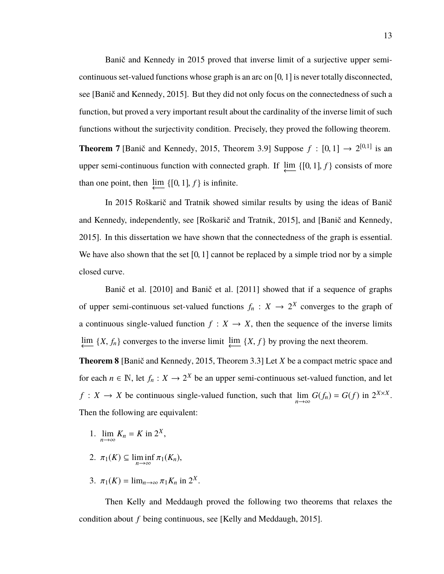Banič and Kennedy in 2015 proved that inverse limit of a surjective upper semicontinuous set-valued functions whose graph is an arc on  $[0, 1]$  is never totally disconnected, see [Banič and Kennedy, 2015]. But they did not only focus on the connectedness of such a function, but proved a very important result about the cardinality of the inverse limit of such functions without the surjectivity condition. Precisely, they proved the following theorem. **Theorem 7** [Banič and Kennedy, 2015, Theorem 3.9] Suppose  $f : [0, 1] \rightarrow 2^{[0, 1]}$  is an upper semi-continuous function with connected graph. If  $\lim_{\longleftarrow} \{[0, 1], f\}$  consists of more than one point, then  $\downarrow \text{im} \{ [0, 1], f \}$  is infinite.

In 2015 Roškarič and Tratnik showed similar results by using the ideas of Banič and Kennedy, independently, see [Roškarič and Tratnik, 2015], and [Banič and Kennedy, 2015]. In this dissertation we have shown that the connectedness of the graph is essential. We have also shown that the set  $[0, 1]$  cannot be replaced by a simple triod nor by a simple closed curve.

Banič et al. [2010] and Banič et al. [2011] showed that if a sequence of graphs of upper semi-continuous set-valued functions  $f_n: X \to 2^X$  converges to the graph of a continuous single-valued function  $f: X \to X$ , then the sequence of the inverse limits  $\downarrow$  {*X*, *f<sub>n</sub>*} converges to the inverse limit  $\downarrow$  {*X*, *f*} by proving the next theorem.

**Theorem 8** [Banič and Kennedy, 2015, Theorem 3.3] Let *X* be a compact metric space and for each  $n \in \mathbb{N}$ , let  $f_n: X \to 2^X$  be an upper semi-continuous set-valued function, and let *f* : *X* → *X* be continuous single-valued function, such that  $\lim_{n \to \infty} G(f_n) = G(f)$  in  $2^{X \times X}$ . Then the following are equivalent:

- 1.  $\lim_{n \to \infty} K_n = K$  in 2<sup>*X*</sup>,
- 2.  $\pi_1(K) \subseteq \liminf_{n \to \infty} \pi_1(K_n)$ ,
- 3.  $\pi_1(K) = \lim_{n \to \infty} \pi_1 K_n$  in  $2^X$ .

Then Kelly and Meddaugh proved the following two theorems that relaxes the condition about *f* being continuous, see [Kelly and Meddaugh, 2015].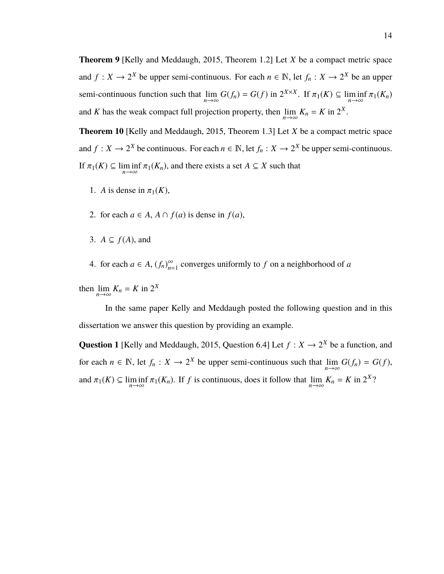**Theorem 9** [Kelly and Meddaugh, 2015, Theorem 1.2] Let *X* be a compact metric space and  $f: X \to 2^X$  be upper semi-continuous. For each  $n \in \mathbb{N}$ , let  $f_n: X \to 2^X$  be an upper semi-continuous function such that  $\lim_{n \to \infty} G(f_n) = G(f)$  in  $2^{X \times X}$ . If  $\pi_1(K) \subseteq \liminf_{n \to \infty} \pi_1(K_n)$ and *K* has the weak compact full projection property, then  $\lim_{n \to \infty} K_n = K$  in  $2^X$ .

**Theorem 10** [Kelly and Meddaugh, 2015, Theorem 1.3] Let *X* be a compact metric space and  $f: X \to 2^X$  be continuous. For each  $n \in \mathbb{N}$ , let  $f_n: X \to 2^X$  be upper semi-continuous. If  $\pi_1(K) \subseteq \liminf_{n \to \infty} \pi_1(K_n)$ , and there exists a set  $A \subseteq X$  such that

- 1. *A* is dense in  $\pi_1(K)$ ,
- 2. for each  $a \in A$ ,  $A \cap f(a)$  is dense in  $f(a)$ ,
- 3.  $A \subseteq f(A)$ , and
- 4. for each  $a \in A$ ,  $(f_n)_{n=1}^{\infty}$  $\sum_{n=1}^{\infty}$  converges uniformly to *f* on a neighborhood of *a*

then  $\lim_{n \to \infty} K_n = K$  in  $2^X$ 

In the same paper Kelly and Meddaugh posted the following question and in this dissertation we answer this question by providing an example.

**Question 1** [Kelly and Meddaugh, 2015, Question 6.4] Let  $f: X \to 2^X$  be a function, and for each  $n \in \mathbb{N}$ , let  $f_n : X \to 2^X$  be upper semi-continuous such that  $\lim_{n \to \infty} G(f_n) = G(f)$ , and  $\pi_1(K) \subseteq \liminf_{n \to \infty} \pi_1(K_n)$ . If *f* is continuous, does it follow that  $\lim_{n \to \infty} K_n = K$  in  $2^X$ ?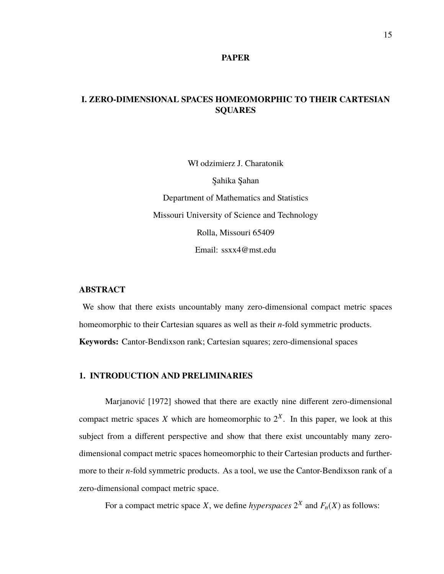## **I. ZERO-DIMENSIONAL SPACES HOMEOMORPHIC TO THEIR CARTESIAN SQUARES**

Wł odzimierz J. Charatonik Şahika Şahan Department of Mathematics and Statistics Missouri University of Science and Technology Rolla, Missouri 65409 Email: ssxx4@mst.edu

#### **ABSTRACT**

We show that there exists uncountably many zero-dimensional compact metric spaces homeomorphic to their Cartesian squares as well as their *n*-fold symmetric products. **Keywords:** Cantor-Bendixson rank; Cartesian squares; zero-dimensional spaces

## **1. INTRODUCTION AND PRELIMINARIES**

Marjanović [1972] showed that there are exactly nine different zero-dimensional compact metric spaces X which are homeomorphic to  $2^X$ . In this paper, we look at this subject from a different perspective and show that there exist uncountably many zerodimensional compact metric spaces homeomorphic to their Cartesian products and furthermore to their *n*-fold symmetric products. As a tool, we use the Cantor-Bendixson rank of a zero-dimensional compact metric space.

For a compact metric space *X*, we define *hyperspaces*  $2^X$  and  $F_n(X)$  as follows: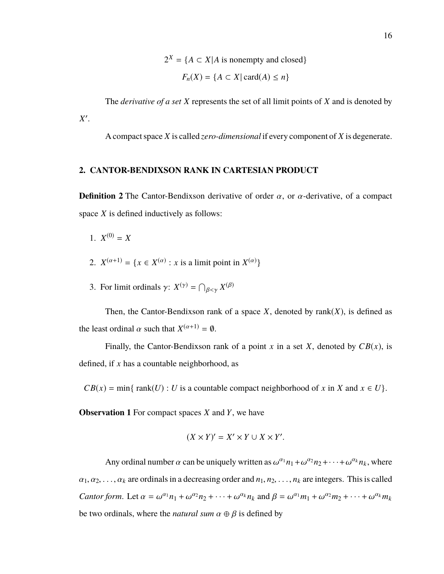$2^X = \{A \subset X | A \text{ is nonempty and closed}\}$  $F_n(X) = \{A \subset X \mid \text{card}(A) \leq n\}$ 

The *derivative of a set X* represents the set of all limit points of *X* and is denoted by *X* 0 .

A compact space *X* is called *zero-dimensional* if every component of *X* is degenerate.

### **2. CANTOR-BENDIXSON RANK IN CARTESIAN PRODUCT**

**Definition 2** The Cantor-Bendixson derivative of order  $\alpha$ , or  $\alpha$ -derivative, of a compact space *X* is defined inductively as follows:

- 1.  $X^{(0)} = X$
- 2.  $X^{(\alpha+1)} = \{x \in X^{(\alpha)} : x \text{ is a limit point in } X^{(\alpha)}\}\$
- 3. For limit ordinals  $\gamma: X^{(\gamma)} = \bigcap_{\beta < \gamma} X^{(\beta)}$

Then, the Cantor-Bendixson rank of a space  $X$ , denoted by rank $(X)$ , is defined as the least ordinal  $\alpha$  such that  $X^{(\alpha+1)} = \emptyset$ .

Finally, the Cantor-Bendixson rank of a point  $x$  in a set  $X$ , denoted by  $CB(x)$ , is defined, if *x* has a countable neighborhood, as

 $CB(x) = min\{rank(U) : U$  is a countable compact neighborhood of *x* in *X* and  $x \in U$ .

**Observation 1** For compact spaces *X* and *Y*, we have

$$
(X \times Y)' = X' \times Y \cup X \times Y'.
$$

Any ordinal number  $\alpha$  can be uniquely written as  $\omega^{\alpha_1} n_1 + \omega^{\alpha_2} n_2 + \cdots + \omega^{\alpha_k} n_k$ , where  $\alpha_1, \alpha_2, \ldots, \alpha_k$  are ordinals in a decreasing order and  $n_1, n_2, \ldots, n_k$  are integers. This is called *Cantor form.* Let  $\alpha = \omega^{\alpha_1} n_1 + \omega^{\alpha_2} n_2 + \cdots + \omega^{\alpha_k} n_k$  and  $\beta = \omega^{\alpha_1} m_1 + \omega^{\alpha_2} m_2 + \cdots + \omega^{\alpha_k} m_k$ be two ordinals, where the *natural sum*  $\alpha \oplus \beta$  is defined by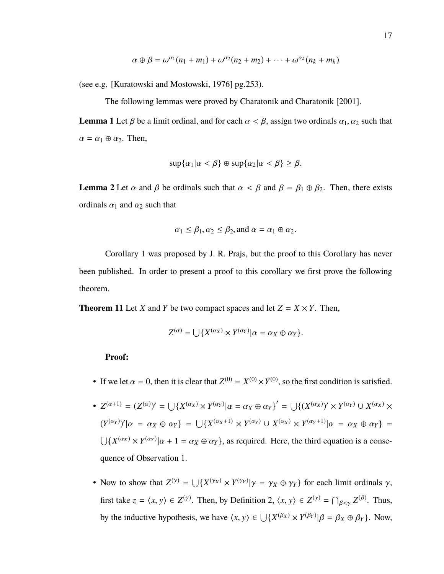$$
\alpha \oplus \beta = \omega^{\alpha_1}(n_1 + m_1) + \omega^{\alpha_2}(n_2 + m_2) + \cdots + \omega^{\alpha_k}(n_k + m_k)
$$

(see e.g. [Kuratowski and Mostowski, 1976] pg.253).

The following lemmas were proved by Charatonik and Charatonik [2001].

**Lemma 1** Let  $\beta$  be a limit ordinal, and for each  $\alpha < \beta$ , assign two ordinals  $\alpha_1, \alpha_2$  such that  $\alpha = \alpha_1 \oplus \alpha_2$ . Then,

$$
\sup{\alpha_1|\alpha < \beta} \oplus \sup{\alpha_2|\alpha < \beta} \ge \beta.
$$

**Lemma 2** Let  $\alpha$  and  $\beta$  be ordinals such that  $\alpha < \beta$  and  $\beta = \beta_1 \oplus \beta_2$ . Then, there exists ordinals  $\alpha_1$  and  $\alpha_2$  such that

$$
\alpha_1 \le \beta_1, \alpha_2 \le \beta_2
$$
, and  $\alpha = \alpha_1 \oplus \alpha_2$ .

Corollary 1 was proposed by J. R. Prajs, but the proof to this Corollary has never been published. In order to present a proof to this corollary we first prove the following theorem.

**Theorem 11** Let *X* and *Y* be two compact spaces and let  $Z = X \times Y$ . Then,

$$
Z^{(\alpha)} = \bigcup \{ X^{(\alpha_X)} \times Y^{(\alpha_Y)} | \alpha = \alpha_X \oplus \alpha_Y \}.
$$

#### **Proof:**

- If we let  $\alpha = 0$ , then it is clear that  $Z^{(0)} = X^{(0)} \times Y^{(0)}$ , so the first condition is satisfied.
- $Z^{(\alpha+1)} = (Z^{(\alpha)})' = \bigcup \{ X^{(\alpha_X)} \times Y^{(\alpha_Y)} | \alpha = \alpha_X \oplus \alpha_Y \}' = \bigcup \{ (X^{(\alpha_X)})' \times Y^{(\alpha_Y)} \cup X^{(\alpha_X)} \times Y^{(\alpha_Y)} \}$  $(Y^{(\alpha_Y)})'|\alpha = \alpha_X \oplus \alpha_Y$ } =  $\bigcup \{X^{(\alpha_X+1)} \times Y^{(\alpha_Y)} \cup X^{(\alpha_X)} \times Y^{(\alpha_Y+1)}|\alpha = \alpha_X \oplus \alpha_Y\}$  =  $\bigcup \{X^{(\alpha_X)} \times Y^{(\alpha_Y)} | \alpha + 1 = \alpha_X \oplus \alpha_Y\}$ , as required. Here, the third equation is a consequence of Observation 1.
- Now to show that  $Z^{(\gamma)} = \bigcup \{ X^{(\gamma_X)} \times Y^{(\gamma_Y)} | \gamma = \gamma_X \oplus \gamma_Y \}$  for each limit ordinals  $\gamma$ , first take  $z = \langle x, y \rangle \in Z^{(\gamma)}$ . Then, by Definition 2,  $\langle x, y \rangle \in Z^{(\gamma)} = \bigcap_{\beta \le \gamma} Z^{(\beta)}$ . Thus, by the inductive hypothesis, we have  $\langle x, y \rangle \in \bigcup \{ X^{(\beta_X)} \times Y^{(\beta_Y)} | \beta = \beta_X \oplus \beta_Y \}$ . Now,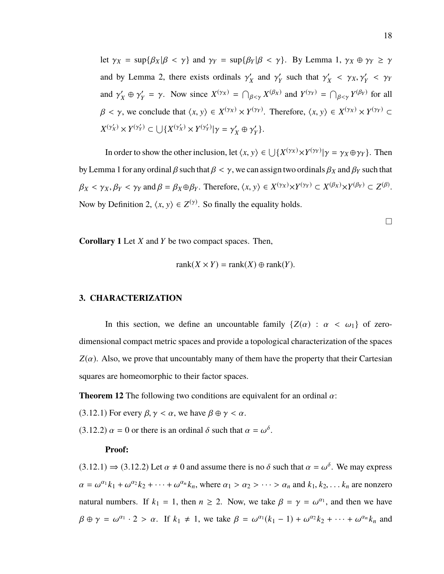let  $\gamma_X = \sup\{\beta_X | \beta < \gamma\}$  and  $\gamma_Y = \sup\{\beta_Y | \beta < \gamma\}$ . By Lemma 1,  $\gamma_X \oplus \gamma_Y \geq \gamma$ and by Lemma 2, there exists ordinals  $\gamma'_{\lambda}$  $\chi$  and  $\gamma'$ <sub>X</sub>  $\gamma'$  such that  $\gamma'$ <sub>2</sub>  $\gamma_X'$  <  $\gamma_X, \gamma_Y'$  <  $\gamma_Y$ and  $\gamma'_{\lambda}$  $\gamma'_X \oplus \gamma'_Y$  $Y'_Y = \gamma$ . Now since  $X^{(\gamma_X)} = \bigcap_{\beta < \gamma} X^{(\beta_X)}$  and  $Y^{(\gamma_Y)} = \bigcap_{\beta < \gamma} Y^{(\beta_Y)}$  for all  $\beta < \gamma$ , we conclude that  $\langle x, y \rangle \in X^{(\gamma_X)} \times Y^{(\gamma_Y)}$ . Therefore,  $\langle x, y \rangle \in X^{(\gamma_X)} \times Y^{(\gamma_Y)} \subset Y$  $X^{(\gamma_X')} \times Y^{(\gamma_Y')} \subset \bigcup \{ X^{(\gamma_X')} \times Y^{(\gamma_Y')} | \gamma = \gamma_Y'$  $\gamma'_X \oplus \gamma'_Y$ *Y* }.

In order to show the other inclusion, let  $\langle x, y \rangle \in \bigcup \{ X^{(\gamma_X)} \times Y^{(\gamma_Y)} | \gamma = \gamma_X \oplus \gamma_Y \}$ . Then by Lemma 1 for any ordinal  $\beta$  such that  $\beta < \gamma$ , we can assign two ordinals  $\beta_X$  and  $\beta_Y$  such that  $\beta_X < \gamma_X, \beta_Y < \gamma_Y \text{ and } \beta = \beta_X \oplus \beta_Y.$  Therefore,  $\langle x, y \rangle \in X^{(\gamma_X)} \times Y^{(\gamma_Y)} \subset X^{(\beta_X)} \times Y^{(\beta_Y)} \subset Z^{(\beta)}$ . Now by Definition 2,  $\langle x, y \rangle \in Z^{(\gamma)}$ . So finally the equality holds.

 $\Box$ 

**Corollary 1** Let *X* and *Y* be two compact spaces. Then,

$$
rank(X \times Y) = rank(X) \oplus rank(Y).
$$

#### **3. CHARACTERIZATION**

In this section, we define an uncountable family  $\{Z(\alpha) : \alpha < \omega_1\}$  of zerodimensional compact metric spaces and provide a topological characterization of the spaces  $Z(\alpha)$ . Also, we prove that uncountably many of them have the property that their Cartesian squares are homeomorphic to their factor spaces.

**Theorem 12** The following two conditions are equivalent for an ordinal  $\alpha$ :

(3.12.1) For every  $\beta$ ,  $\gamma < \alpha$ , we have  $\beta \oplus \gamma < \alpha$ .

(3.12.2)  $\alpha = 0$  or there is an ordinal  $\delta$  such that  $\alpha = \omega^{\delta}$ .

#### **Proof:**

 $(3.12.1) \Rightarrow (3.12.2)$  Let  $\alpha \neq 0$  and assume there is no  $\delta$  such that  $\alpha = \omega^{\delta}$ . We may express  $\alpha = \omega^{\alpha_1} k_1 + \omega^{\alpha_2} k_2 + \cdots + \omega^{\alpha_n} k_n$ , where  $\alpha_1 > \alpha_2 > \cdots > \alpha_n$  and  $k_1, k_2, \ldots k_n$  are nonzero natural numbers. If  $k_1 = 1$ , then  $n \ge 2$ . Now, we take  $\beta = \gamma = \omega^{\alpha_1}$ , and then we have  $\beta \oplus \gamma = \omega^{\alpha_1} \cdot 2 > \alpha$ . If  $k_1 \neq 1$ , we take  $\beta = \omega^{\alpha_1}(k_1 - 1) + \omega^{\alpha_2}k_2 + \cdots + \omega^{\alpha_n}k_n$  and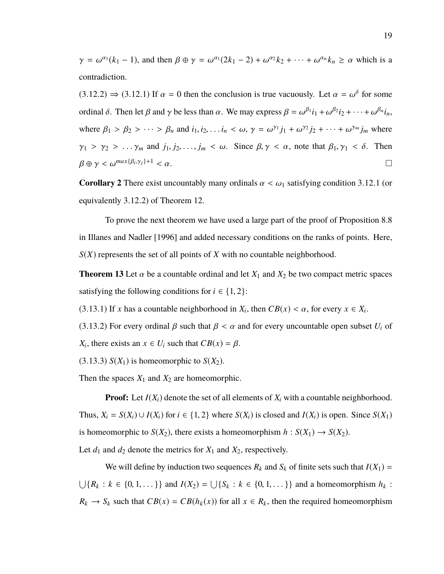$\gamma = \omega^{\alpha_1}(k_1 - 1)$ , and then  $\beta \oplus \gamma = \omega^{\alpha_1}(2k_1 - 2) + \omega^{\alpha_2}k_2 + \cdots + \omega^{\alpha_n}k_n \ge \alpha$  which is a contradiction.

 $(3.12.2) \Rightarrow (3.12.1)$  If  $\alpha = 0$  then the conclusion is true vacuously. Let  $\alpha = \omega^{\delta}$  for some ordinal  $\delta$ . Then let  $\beta$  and  $\gamma$  be less than  $\alpha$ . We may express  $\beta = \omega^{\beta_1} i_1 + \omega^{\beta_2} i_2 + \cdots + \omega^{\beta_n} i_n$ , where  $\beta_1 > \beta_2 > \cdots > \beta_n$  and  $i_1, i_2, \ldots i_n < \omega, \gamma = \omega^{\gamma_1} j_1 + \omega^{\gamma_2} j_2 + \cdots + \omega^{\gamma_m} j_m$  where  $\gamma_1 > \gamma_2 > \ldots \gamma_m$  and  $j_1, j_2, \ldots, j_m < \omega$ . Since  $\beta, \gamma < \alpha$ , note that  $\beta_1, \gamma_1 < \delta$ . Then  $\beta \oplus \gamma < \omega^{max\{\beta_i,\gamma_j\}+1} < \alpha.$  $,\gamma_j\}+1 < \alpha.$ 

**Corollary 2** There exist uncountably many ordinals  $\alpha < \omega_1$  satisfying condition 3.12.1 (or equivalently <sup>3</sup>.12.2) of Theorem 12.

To prove the next theorem we have used a large part of the proof of Proposition 8.8 in Illanes and Nadler [1996] and added necessary conditions on the ranks of points. Here, *S*(*X*) represents the set of all points of *X* with no countable neighborhood.

**Theorem 13** Let  $\alpha$  be a countable ordinal and let  $X_1$  and  $X_2$  be two compact metric spaces satisfying the following conditions for  $i \in \{1, 2\}$ :

(3.13.1) If *x* has a countable neighborhood in  $X_i$ , then  $CB(x) < \alpha$ , for every  $x \in X_i$ .

(3.13.2) For every ordinal  $\beta$  such that  $\beta < \alpha$  and for every uncountable open subset  $U_i$  of *X*<sub>*i*</sub>, there exists an  $x \in U_i$  such that  $CB(x) = \beta$ .

 $(3.13.3)$   $S(X_1)$  is homeomorphic to  $S(X_2)$ .

Then the spaces  $X_1$  and  $X_2$  are homeomorphic.

**Proof:** Let  $I(X_i)$  denote the set of all elements of  $X_i$  with a countable neighborhood. Thus,  $X_i = S(X_i) \cup I(X_i)$  for  $i \in \{1, 2\}$  where  $S(X_i)$  is closed and  $I(X_i)$  is open. Since  $S(X_1)$ is homeomorphic to *S*(*X*<sub>2</sub>), there exists a homeomorphism  $h : S(X_1) \to S(X_2)$ .

Let  $d_1$  and  $d_2$  denote the metrics for  $X_1$  and  $X_2$ , respectively.

We will define by induction two sequences  $R_k$  and  $S_k$  of finite sets such that  $I(X_1) =$  $\bigcup \{R_k : k \in \{0, 1, \dots\}\}\$  and  $I(X_2) = \bigcup \{S_k : k \in \{0, 1, \dots\}\}\$  and a homeomorphism  $h_k$ :  $R_k \to S_k$  such that  $CB(x) = CB(h_k(x))$  for all  $x \in R_k$ , then the required homeomorphism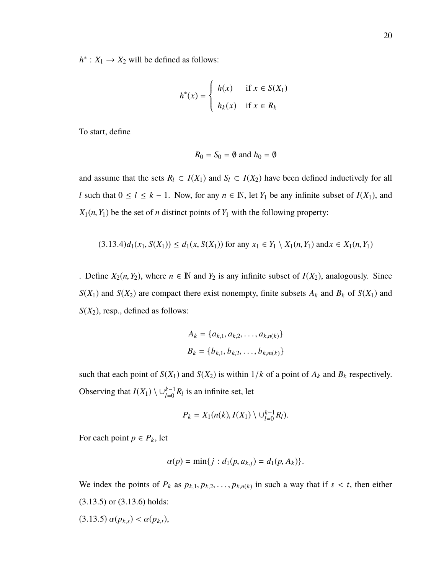$h^*$ :  $X_1 \rightarrow X_2$  will be defined as follows:

$$
h^*(x) = \begin{cases} h(x) & \text{if } x \in S(X_1) \\ h_k(x) & \text{if } x \in R_k \end{cases}
$$

To start, define

$$
R_0 = S_0 = \emptyset \text{ and } h_0 = \emptyset
$$

and assume that the sets  $R_l \subset I(X_1)$  and  $S_l \subset I(X_2)$  have been defined inductively for all *l* such that  $0 \le l \le k - 1$ . Now, for any  $n \in \mathbb{N}$ , let  $Y_1$  be any infinite subset of  $I(X_1)$ , and  $X_1(n, Y_1)$  be the set of *n* distinct points of  $Y_1$  with the following property:

$$
(3.13.4)d_1(x_1, S(X_1)) \le d_1(x, S(X_1)) \text{ for any } x_1 \in Y_1 \setminus X_1(n, Y_1) \text{ and } x \in X_1(n, Y_1)
$$

. Define  $X_2(n, Y_2)$ , where  $n \in \mathbb{N}$  and  $Y_2$  is any infinite subset of  $I(X_2)$ , analogously. Since *S*(*X*<sub>1</sub>) and *S*(*X*<sub>2</sub>) are compact there exist nonempty, finite subsets  $A_k$  and  $B_k$  of *S*(*X*<sub>1</sub>) and  $S(X_2)$ , resp., defined as follows:

$$
A_k = \{a_{k,1}, a_{k,2}, \dots, a_{k,n(k)}\}
$$
  

$$
B_k = \{b_{k,1}, b_{k,2}, \dots, b_{k,m(k)}\}
$$

such that each point of  $S(X_1)$  and  $S(X_2)$  is within  $1/k$  of a point of  $A_k$  and  $B_k$  respectively. Observing that  $I(X_1) \setminus \cup_{l=0}^{k-1} R_l$  is an infinite set, let

$$
P_k=X_1(n(k),I(X_1)\setminus\cup_{l=0}^{k-1}R_l).
$$

For each point  $p \in P_k$ , let

$$
\alpha(p) = \min\{j : d_1(p, a_{k,j}) = d_1(p, A_k)\}.
$$

We index the points of  $P_k$  as  $p_{k,1}, p_{k,2}, \ldots, p_{k,n(k)}$  in such a way that if  $s < t$ , then either (3.13.5) or (3.13.6) holds:  $(3.13.5)$   $\alpha(p_{k,s}) < \alpha(p_{k,t}),$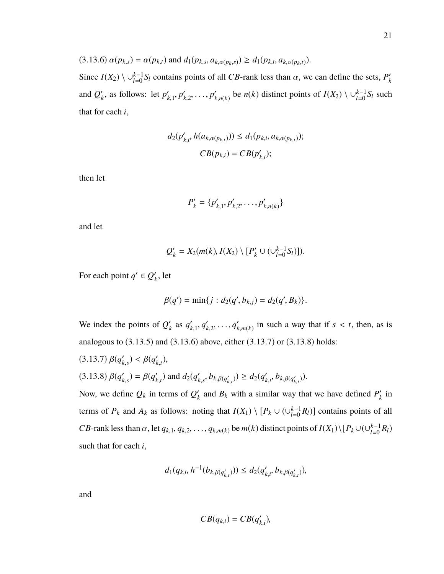Since  $I(X_2) \setminus \cup_{l=0}^{k-1} S_l$  contains points of all *CB*-rank less than  $\alpha$ , we can define the sets,  $P'_k$ *k* and  $Q'_{l}$  $\alpha_k'$ , as follows: let  $p'_k$  $n'_{k,1}, p'_{k}$  $h'_{k,2}, \ldots, p'_{k}$ *<sup>k</sup>*,*n*(*k*) be *n*(*k*) distinct points of *I*(*X*<sub>2</sub>) \  $\cup_{l=0}^{k-1} S_l$  such that for each *i*,

$$
d_2(p'_{k,i}, h(a_{k,\alpha(p_{k,t})})) \le d_1(p_{k,i}, a_{k,\alpha(p_{k,t})});
$$
  

$$
CB(p_{k,i}) = CB(p'_{k,i});
$$

then let

$$
P'_{k} = \{p'_{k,1}, p'_{k,2}, \ldots, p'_{k,n(k)}\}
$$

and let

$$
Q'_{k} = X_{2}(m(k), I(X_{2}) \setminus [P'_{k} \cup (\cup_{l=0}^{k-1} S_{l})]).
$$

For each point  $q' \in Q'$  $'_{k}$ , let

$$
\beta(q') = \min\{j : d_2(q', b_{k,j}) = d_2(q', B_k)\}.
$$

We index the points of  $Q_1'$  $'_{k}$  as  $q'_{k}$  $'_{k,1}, q'_{k}$  $'_{k,2}, \ldots, q'_{k}$  $k(m(k))$  in such a way that if  $s < t$ , then, as is analogous to (3.13.5) and (3.13.6) above, either (3.13.7) or (3.13.8) holds:

(3.13.7)  $\beta(q'_k)$  $\beta_{k,s}$ ) <  $\beta(q'_k)$ *k*,*t* ), (3.13.8)  $\beta(q'_{k})$  $'_{k,s}$ ) =  $\beta(q'_{k})$  $d_k(t)$  and  $d_2(q_k)$  $b_{k,s}$ ,  $b_{k,\beta(q'_{k,t})}$ )) ≥  $d_2(q'_k)$  $\int_{k,t}^{t}$ ,  $b_{k,\beta(q'_{k,t})}$ )).

Now, we define  $Q_k$  in terms of  $Q'_k$  $R_k$  and  $B_k$  with a similar way that we have defined  $P'_k$  $\frac{y}{k}$  in terms of  $P_k$  and  $A_k$  as follows: noting that  $I(X_1) \setminus [P_k \cup (\cup_{l=0}^{k-1} R_l)]$  contains points of all *CB*-rank less than  $\alpha$ , let  $q_{k,1}, q_{k,2}, \ldots, q_{k,m(k)}$  be  $m(k)$  distinct points of  $I(X_1) \setminus [P_k \cup (\cup_{l=0}^{k-1} R_l)$ such that for each *i*,

$$
d_1(q_{k,i}, h^{-1}(b_{k,\beta(q'_{k,t})})) \leq d_2(q'_{k,i}, b_{k,\beta(q'_{k,t})}),
$$

and

$$
CB(q_{k,i})=CB(q'_{k,i}),
$$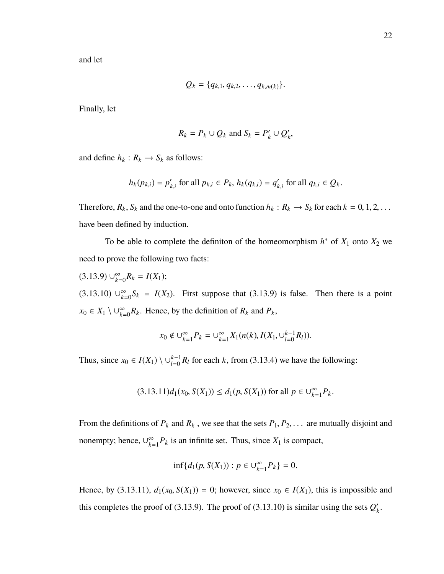and let

$$
Q_k = \{q_{k,1}, q_{k,2}, \ldots, q_{k,m(k)}\}.
$$

Finally, let

$$
R_k = P_k \cup Q_k \text{ and } S_k = P'_k \cup Q'_k,
$$

and define  $h_k : R_k \to S_k$  as follows:

$$
h_k(p_{k,i}) = p'_{k,i} \text{ for all } p_{k,i} \in P_k, h_k(q_{k,i}) = q'_{k,i} \text{ for all } q_{k,i} \in Q_k.
$$

Therefore,  $R_k$ ,  $S_k$  and the one-to-one and onto function  $h_k : R_k \to S_k$  for each  $k = 0, 1, 2, \ldots$ have been defined by induction.

To be able to complete the definiton of the homeomorphism  $h^*$  of  $X_1$  onto  $X_2$  we need to prove the following two facts:

 $(3.13.9) \cup_{k=0}^{\infty} R_k = I(X_1);$  $(3.13.10)$   $\cup_{k=0}^{\infty} S_k = I(X_2)$ . First suppose that (3.13.9) is false. Then there is a point

*x*<sup>0</sup> ∈ *X*<sup>1</sup>  $\setminus \bigcup_{k=0}^{\infty} R_k$ . Hence, by the definition of  $R_k$  and  $P_k$ ,

$$
x_0 \notin \bigcup_{k=1}^{\infty} P_k = \bigcup_{k=1}^{\infty} X_1(n(k), I(X_1, \bigcup_{l=0}^{k-1} R_l)).
$$

Thus, since  $x_0 \in I(X_1) \setminus \bigcup_{l=0}^{k-1} R_l$  for each *k*, from (3.13.4) we have the following:

$$
(3.13.11)d_1(x_0, S(X_1)) \le d_1(p, S(X_1)) \text{ for all } p \in \bigcup_{k=1}^{\infty} P_k.
$$

From the definitions of  $P_k$  and  $R_k$ , we see that the sets  $P_1, P_2, \ldots$  are mutually disjoint and nonempty; hence,  $\cup_{k=1}^{\infty}$  $\sum_{k=1}^{\infty} P_k$  is an infinite set. Thus, since  $X_1$  is compact,

$$
\inf\{d_1(p, S(X_1)) : p \in \bigcup_{k=1}^{\infty} P_k\} = 0.
$$

Hence, by (3.13.11),  $d_1(x_0, S(X_1)) = 0$ ; however, since  $x_0 \in I(X_1)$ , this is impossible and this completes the proof of (3.13.9). The proof of (3.13.10) is similar using the sets  $Q'$ *k* .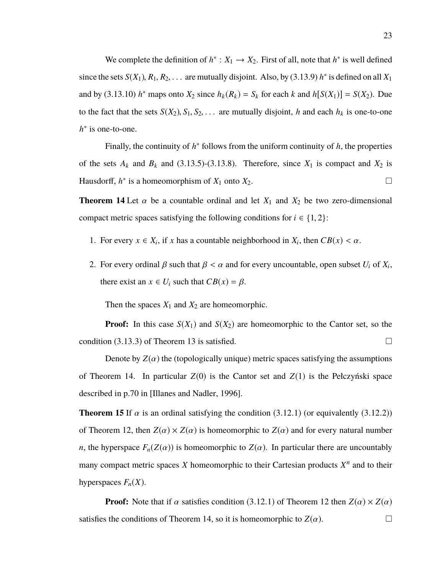We complete the definition of  $h^*$ :  $X_1 \rightarrow X_2$ . First of all, note that  $h^*$  is well defined since the sets  $S(X_1)$ ,  $R_1$ ,  $R_2$ , ... are mutually disjoint. Also, by (3.13.9) *h*<sup>\*</sup> is defined on all  $X_1$ and by (3.13.10) *h*<sup>\*</sup> maps onto  $X_2$  since  $h_k(R_k) = S_k$  for each *k* and  $h[S(X_1)] = S(X_2)$ . Due to the fact that the sets  $S(X_2), S_1, S_2, \ldots$  are mutually disjoint, *h* and each  $h_k$  is one-to-one *h*<sup>∗</sup> is one-to-one.

Finally, the continuity of  $h^*$  follows from the uniform continuity of  $h$ , the properties of the sets  $A_k$  and  $B_k$  and (3.13.5)-(3.13.8). Therefore, since  $X_1$  is compact and  $X_2$  is Hausdorff,  $h^*$  is a homeomorphism of  $X_1$  onto  $X_2$ .

**Theorem 14** Let  $\alpha$  be a countable ordinal and let  $X_1$  and  $X_2$  be two zero-dimensional compact metric spaces satisfying the following conditions for  $i \in \{1, 2\}$ :

- 1. For every  $x \in X_i$ , if *x* has a countable neighborhood in  $X_i$ , then  $CB(x) < \alpha$ .
- 2. For every ordinal  $\beta$  such that  $\beta < \alpha$  and for every uncountable, open subset  $U_i$  of  $X_i$ , there exist an  $x \in U_i$  such that  $CB(x) = \beta$ .

Then the spaces  $X_1$  and  $X_2$  are homeomorphic.

**Proof:** In this case  $S(X_1)$  and  $S(X_2)$  are homeomorphic to the Cantor set, so the condition (3.13.3) of Theorem 13 is satisfied.  $\square$ 

Denote by  $Z(\alpha)$  the (topologically unique) metric spaces satisfying the assumptions of Theorem 14. In particular  $Z(0)$  is the Cantor set and  $Z(1)$  is the Pełczyński space described in p.70 in [Illanes and Nadler, 1996].

**Theorem 15** If  $\alpha$  is an ordinal satisfying the condition (3.12.1) (or equivalently (3.12.2)) of Theorem 12, then  $Z(\alpha) \times Z(\alpha)$  is homeomorphic to  $Z(\alpha)$  and for every natural number *n*, the hyperspace  $F_n(Z(\alpha))$  is homeomorphic to  $Z(\alpha)$ . In particular there are uncountably many compact metric spaces  $X$  homeomorphic to their Cartesian products  $X^n$  and to their hyperspaces  $F_n(X)$ .

**Proof:** Note that if  $\alpha$  satisfies condition (3.12.1) of Theorem 12 then  $Z(\alpha) \times Z(\alpha)$ satisfies the conditions of Theorem 14, so it is homeomorphic to  $Z(\alpha)$ .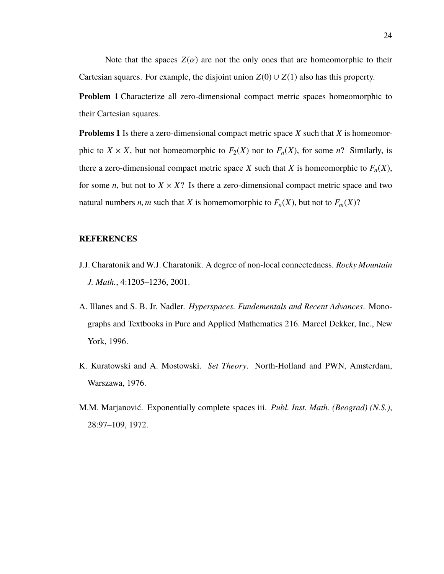Note that the spaces  $Z(\alpha)$  are not the only ones that are homeomorphic to their Cartesian squares. For example, the disjoint union  $Z(0) \cup Z(1)$  also has this property.

**Problem 1** Characterize all zero-dimensional compact metric spaces homeomorphic to their Cartesian squares.

**Problems 1** Is there a zero-dimensional compact metric space *X* such that *X* is homeomorphic to *X* × *X*, but not homeomorphic to  $F_2(X)$  nor to  $F_n(X)$ , for some *n*? Similarly, is there a zero-dimensional compact metric space *X* such that *X* is homeomorphic to  $F_n(X)$ , for some *n*, but not to  $X \times X$ ? Is there a zero-dimensional compact metric space and two natural numbers *n*, *m* such that *X* is homemomorphic to  $F_n(X)$ , but not to  $F_m(X)$ ?

## **REFERENCES**

- J.J. Charatonik and W.J. Charatonik. A degree of non-local connectedness. *Rocky Mountain J. Math.*, 4:1205–1236, 2001.
- A. Illanes and S. B. Jr. Nadler. *Hyperspaces. Fundementals and Recent Advances*. Monographs and Textbooks in Pure and Applied Mathematics 216. Marcel Dekker, Inc., New York, 1996.
- K. Kuratowski and A. Mostowski. *Set Theory*. North-Holland and PWN, Amsterdam, Warszawa, 1976.
- M.M. Marjanović. Exponentially complete spaces iii. *Publ. Inst. Math. (Beograd) (N.S.)*, 28:97–109, 1972.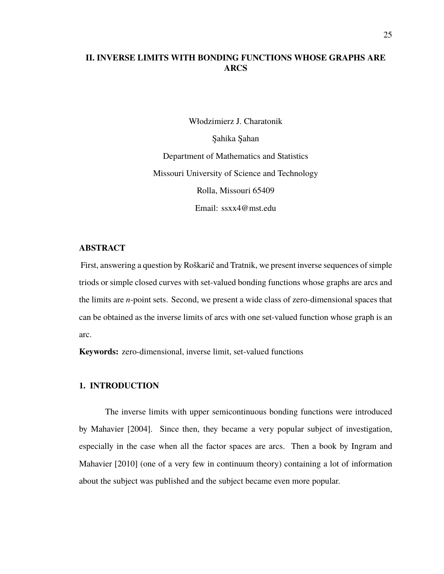## **II. INVERSE LIMITS WITH BONDING FUNCTIONS WHOSE GRAPHS ARE ARCS**

Włodzimierz J. Charatonik Şahika Şahan Department of Mathematics and Statistics Missouri University of Science and Technology Rolla, Missouri 65409 Email: ssxx4@mst.edu

## **ABSTRACT**

First, answering a question by Roškarič and Tratnik, we present inverse sequences of simple triods or simple closed curves with set-valued bonding functions whose graphs are arcs and the limits are *n*-point sets. Second, we present a wide class of zero-dimensional spaces that can be obtained as the inverse limits of arcs with one set-valued function whose graph is an arc.

**Keywords:** zero-dimensional, inverse limit, set-valued functions

### **1. INTRODUCTION**

The inverse limits with upper semicontinuous bonding functions were introduced by Mahavier [2004]. Since then, they became a very popular subject of investigation, especially in the case when all the factor spaces are arcs. Then a book by Ingram and Mahavier [2010] (one of a very few in continuum theory) containing a lot of information about the subject was published and the subject became even more popular.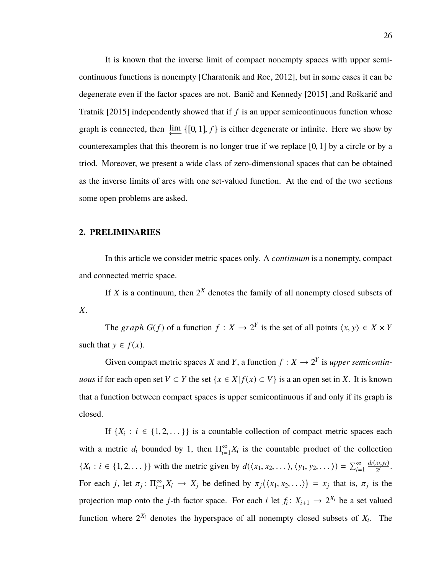It is known that the inverse limit of compact nonempty spaces with upper semicontinuous functions is nonempty [Charatonik and Roe, 2012], but in some cases it can be degenerate even if the factor spaces are not. Banič and Kennedy [2015] ,and Roškarič and Tratnik [2015] independently showed that if *f* is an upper semicontinuous function whose graph is connected, then  $\underbrace{\lim}_{\longleftarrow} \{[0, 1], f\}$  is either degenerate or infinite. Here we show by counterexamples that this theorem is no longer true if we replace [0, <sup>1</sup>] by a circle or by a triod. Moreover, we present a wide class of zero-dimensional spaces that can be obtained as the inverse limits of arcs with one set-valued function. At the end of the two sections some open problems are asked.

#### **2. PRELIMINARIES**

In this article we consider metric spaces only. A *continuum* is a nonempty, compact and connected metric space.

If *X* is a continuum, then  $2^X$  denotes the family of all nonempty closed subsets of *X*.

The *graph*  $G(f)$  of a function  $f : X \to 2^Y$  is the set of all points  $\langle x, y \rangle \in X \times Y$ such that  $y \in f(x)$ .

Given compact metric spaces *X* and *Y*, a function  $f: X \rightarrow 2^Y$  is *upper semicontinuous* if for each open set *V* ⊂ *Y* the set {*x* ∈ *X*| *f*(*x*) ⊂ *V*} is a an open set in *X*. It is known that a function between compact spaces is upper semicontinuous if and only if its graph is closed.

If  $\{X_i : i \in \{1, 2, ...\} \}$  is a countable collection of compact metric spaces each with a metric  $d_i$  bounded by 1, then  $\Pi_{i=1}^{\infty}$  $\sum_{i=1}^{\infty} X_i$  is the countable product of the collection  $\{X_i : i \in \{1, 2, ...\}\}\$  with the metric given by  $d(\langle x_1, x_2, ...\rangle, \langle y_1, y_2, ...\rangle) = \sum_{i=1}^{\infty}$  $\frac{d_i(x_i,y_i)}{2^i}$ . For each *j*, let  $\pi_j$ :  $\Pi_{i=1}^{\infty}$  $\sum_{i=1}^{\infty} X_i \rightarrow X_j$  be defined by  $\pi_j(\langle x_1, x_2, \ldots \rangle) = x_j$  that is,  $\pi_j$  is the projection map onto the *j*-th factor space. For each *i* let  $f_i: X_{i+1} \to 2^{X_i}$  be a set valued function where  $2^{X_i}$  denotes the hyperspace of all nonempty closed subsets of  $X_i$ . The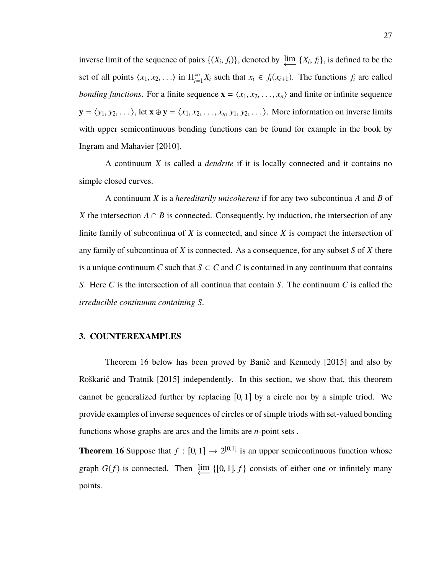inverse limit of the sequence of pairs  $\{(X_i, f_i)\}\)$ , denoted by  $\varprojlim \{X_i, f_i\}$ , is defined to be the set of all points  $\langle x_1, x_2, \ldots \rangle$  in  $\Pi_{i=0}^{\infty}$  $\sum_{i=1}^{\infty} X_i$  such that  $x_i \in f_i(x_{i+1})$ . The functions  $f_i$  are called *bonding functions*. For a finite sequence  $\mathbf{x} = \langle x_1, x_2, \dots, x_n \rangle$  and finite or infinite sequence  $\mathbf{y} = \langle y_1, y_2, \dots \rangle$ , let  $\mathbf{x} \oplus \mathbf{y} = \langle x_1, x_2, \dots, x_n, y_1, y_2, \dots \rangle$ . More information on inverse limits with upper semicontinuous bonding functions can be found for example in the book by Ingram and Mahavier [2010].

A continuum *X* is called a *dendrite* if it is locally connected and it contains no simple closed curves.

A continuum *X* is a *hereditarily unicoherent* if for any two subcontinua *A* and *B* of *X* the intersection  $A \cap B$  is connected. Consequently, by induction, the intersection of any finite family of subcontinua of *X* is connected, and since *X* is compact the intersection of any family of subcontinua of *X* is connected. As a consequence, for any subset *S* of *X* there is a unique continuum *C* such that  $S \subset C$  and *C* is contained in any continuum that contains *S*. Here *C* is the intersection of all continua that contain *S*. The continuum *C* is called the *irreducible continuum containing S.*

## **3. COUNTEREXAMPLES**

Theorem 16 below has been proved by Banič and Kennedy [2015] and also by Roškarič and Tratnik [2015] independently. In this section, we show that, this theorem cannot be generalized further by replacing [0, <sup>1</sup>] by a circle nor by a simple triod. We provide examples of inverse sequences of circles or of simple triods with set-valued bonding functions whose graphs are arcs and the limits are *n*-point sets .

**Theorem 16** Suppose that  $f : [0, 1] \rightarrow 2^{[0,1]}$  is an upper semicontinuous function whose graph  $G(f)$  is connected. Then  $\varprojlim \{[0, 1], f\}$  consists of either one or infinitely many points.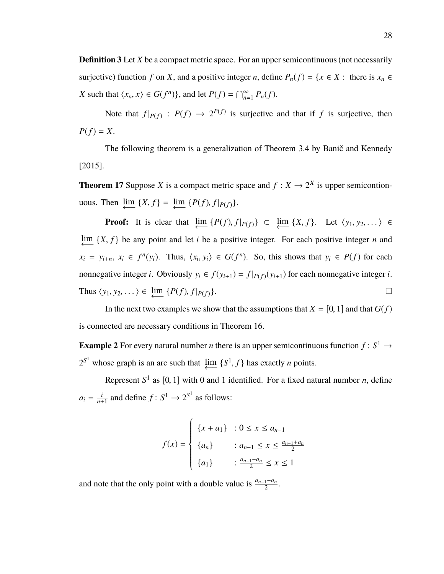**Definition 3** Let *X* be a compact metric space. For an upper semicontinuous (not necessarily surjective) function *f* on *X*, and a positive integer *n*, define  $P_n(f) = \{x \in X : \text{ there is } x_n \in$ *X* such that  $\langle x_n, x \rangle \in G(f^n)$ , and let  $P(f) = \bigcap_{n=1}^{\infty} P_n(f)$ .

Note that  $f|_{P(f)}$  :  $P(f) \rightarrow 2^{P(f)}$  is surjective and that if f is surjective, then  $P(f) = X$ .

The following theorem is a generalization of Theorem 3.4 by Banič and Kennedy [2015].

**Theorem 17** Suppose *X* is a compact metric space and  $f: X \to 2^X$  is upper semicontionuous. Then  $\varprojlim \{X, f\} = \varprojlim \{P(f), f|_{P(f)}\}.$ 

**Proof:** It is clear that  $\lim_{\longleftarrow} \{P(f), f|_{P(f)}\} \subset \lim_{\longleftarrow} \{X, f\}$ . Let  $\langle y_1, y_2, \dots \rangle \in$ lim ←− {*X*, *<sup>f</sup>* } be any point and let *<sup>i</sup>* be a positive integer. For each positive integer *<sup>n</sup>* and  $x_i = y_{i+n}, x_i \in f^n(y_i)$ . Thus,  $\langle x_i, y_i \rangle \in G(f^n)$ . So, this shows that  $y_i \in P(f)$  for each nonnegative integer *i*. Obviously  $y_i \in f(y_{i+1}) = f|_{P(f)}(y_{i+1})$  for each nonnegative integer *i*. Thus  $\langle y_1, y_2, \dots \rangle \in \underline{\lim} \{P(f), f|_{P(f)}\}.$ 

In the next two examples we show that the assumptions that  $X = [0, 1]$  and that  $G(f)$ is connected are necessary conditions in Theorem 16.

**Example 2** For every natural number *n* there is an upper semicontinuous function  $f: S^1 \to$  $2^{S^1}$  whose graph is an arc such that  $\downarrow \text{lim} \{S^1, f\}$  has exactly *n* points.

Represent  $S^1$  as  $[0, 1]$  with 0 and 1 identified. For a fixed natural number *n*, define  $a_i = \frac{i}{n+1}$  $\frac{i}{n+1}$  and define  $f: S^1 \to 2^{S^1}$  as follows:

$$
f(x) = \begin{cases} \{x + a_1\} & : 0 \le x \le a_{n-1} \\ \{a_n\} & : a_{n-1} \le x \le \frac{a_{n-1} + a_n}{2} \\ \{a_1\} & : \frac{a_{n-1} + a_n}{2} \le x \le 1 \end{cases}
$$

and note that the only point with a double value is  $\frac{a_{n-1}+a_n}{2}$ .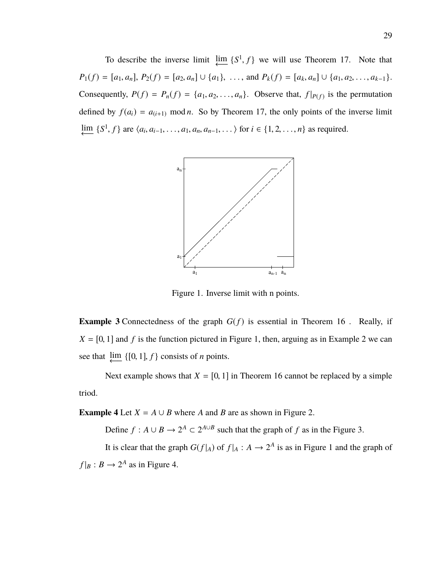To describe the inverse limit  $\underleftarrow{\lim} \{S^1, f\}$  we will use Theorem 17. Note that  $P_1(f) = [a_1, a_n], P_2(f) = [a_2, a_n] \cup \{a_1\}, \ldots$ , and  $P_k(f) = [a_k, a_n] \cup \{a_1, a_2, \ldots, a_{k-1}\}.$ Consequently,  $P(f) = P_n(f) = \{a_1, a_2, \dots, a_n\}$ . Observe that,  $f|_{P(f)}$  is the permutation defined by  $f(a_i) = a_{i+1}$  mod *n*. So by Theorem 17, the only points of the inverse limit  $\frac{\lim}{\leftarrow} \{S^1, f\}$  are  $\langle a_i, a_{i-1}, \dots, a_1, a_n, a_{n-1}, \dots \rangle$  for *i* ∈ {1, 2, ..., *n*} as required.



Figure 1. Inverse limit with n points.

**Example 3** Connectedness of the graph  $G(f)$  is essential in Theorem 16. Really, if  $X = [0, 1]$  and *f* is the function pictured in Figure 1, then, arguing as in Example 2 we can see that  $\lim_{n \to \infty} \{ [0, 1], f \}$  consists of *n* points.

Next example shows that  $X = [0, 1]$  in Theorem 16 cannot be replaced by a simple triod.

**Example 4** Let  $X = A \cup B$  where *A* and *B* are as shown in Figure 2.

Define  $f : A \cup B \to 2^A \subset 2^{A \cup B}$  such that the graph of  $f$  as in the Figure 3.

It is clear that the graph  $G(f|_A)$  of  $f|_A: A \to 2^A$  is as in Figure 1 and the graph of  $f|_B: B \to 2^A$  as in Figure 4.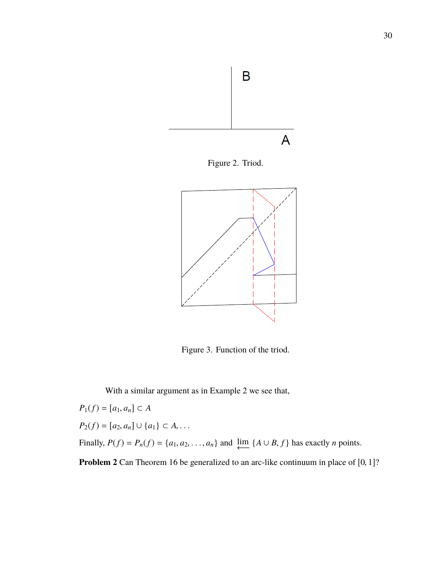

Figure 2. Triod.



Figure 3. Function of the triod.

With a similar argument as in Example 2 we see that,

$$
P_1(f) = [a_1, a_n] \subset A
$$
  
\n
$$
P_2(f) = [a_2, a_n] \cup \{a_1\} \subset A, ...
$$
  
\nFinally, 
$$
P(f) = P_n(f) = \{a_1, a_2, ..., a_n\}
$$
 and 
$$
\underleftarrow{\text{im}} \{A \cup B, f\}
$$
 has exactly *n* points.  
\n**Problem 2** Can Theorem 16 be generalized to an arc-like continuum in place of [0, 1]: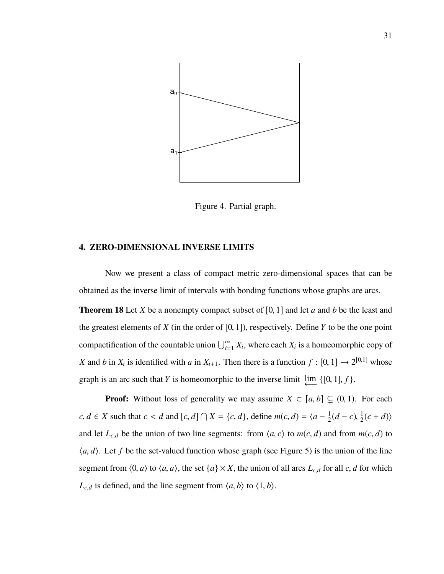

Figure 4. Partial graph.

#### **4. ZERO-DIMENSIONAL INVERSE LIMITS**

Now we present a class of compact metric zero-dimensional spaces that can be obtained as the inverse limit of intervals with bonding functions whose graphs are arcs.

**Theorem 18** Let *<sup>X</sup>* be a nonempty compact subset of [0, <sup>1</sup>] and let *<sup>a</sup>* and *<sup>b</sup>* be the least and the greatest elements of  $X$  (in the order of  $[0, 1]$ ), respectively. Define  $Y$  to be the one point compactification of the countable union  $\bigcup_{i=1}^{\infty} X_i$ , where each  $X_i$  is a homeomorphic copy of *X* and *b* in  $X_i$  is identified with *a* in  $X_{i+1}$ . Then there is a function  $f : [0, 1] \rightarrow 2^{[0,1]}$  whose graph is an arc such that *Y* is homeomorphic to the inverse limit  $\downarrow \text{im} \{ [0, 1], f \}$ .

**Proof:** Without loss of generality we may assume  $X \subset [a, b] \subset (0, 1)$ . For each  $c, d \in X$  such that  $c < d$  and  $[c, d] \cap X = \{c, d\}$ , define  $m(c, d) = \langle a - \frac{1}{2} \rangle$  $\frac{1}{2}(d-c), \frac{1}{2}$  $\frac{1}{2}(c+d)$ and let  $L_{c,d}$  be the union of two line segments: from  $\langle a, c \rangle$  to  $m(c, d)$  and from  $m(c, d)$  to  $\langle a, d \rangle$ . Let *f* be the set-valued function whose graph (see Figure 5) is the union of the line segment from  $\langle 0, a \rangle$  to  $\langle a, a \rangle$ , the set  $\{a\} \times X$ , the union of all arcs  $L_{c,d}$  for all *c*, *d* for which  $L_{c,d}$  is defined, and the line segment from  $\langle a, b \rangle$  to  $\langle 1, b \rangle$ .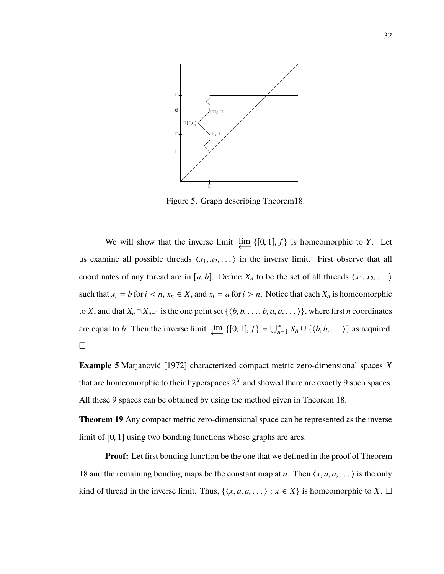

Figure 5. Graph describing Theorem18.

We will show that the inverse limit  $\underleftarrow{\lim} \{[0, 1], f\}$  is homeomorphic to *Y*. Let us examine all possible threads  $\langle x_1, x_2, \ldots \rangle$  in the inverse limit. First observe that all coordinates of any thread are in [a, b]. Define  $X_n$  to be the set of all threads  $\langle x_1, x_2, \dots \rangle$ such that  $x_i = b$  for  $i < n$ ,  $x_n \in X$ , and  $x_i = a$  for  $i > n$ . Notice that each  $X_n$  is homeomorphic to *X*, and that  $X_n \cap X_{n+1}$  is the one point set  $\{\langle b, b, \ldots, b, a, a, \ldots \rangle\}$ , where first *n* coordinates are equal to *b*. Then the inverse limit  $\varprojlim \{ [0, 1], f \} = \bigcup_{n=1}^{\infty} X_n \cup \{ \langle b, b, \dots \rangle \}$  as required.  $\Box$ 

**Example 5** Marjanović [1972] characterized compact metric zero-dimensional spaces *X* that are homeomorphic to their hyperspaces  $2^X$  and showed there are exactly 9 such spaces. All these 9 spaces can be obtained by using the method given in Theorem 18.

**Theorem 19** Any compact metric zero-dimensional space can be represented as the inverse limit of [0, <sup>1</sup>] using two bonding functions whose graphs are arcs.

**Proof:** Let first bonding function be the one that we defined in the proof of Theorem 18 and the remaining bonding maps be the constant map at *a*. Then  $\langle x, a, a, \dots \rangle$  is the only kind of thread in the inverse limit. Thus,  $\{\langle x, a, a, \dots \rangle : x \in X\}$  is homeomorphic to *X*.  $\Box$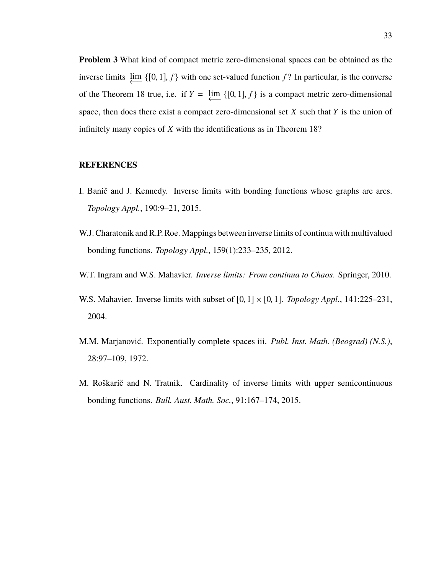**Problem 3** What kind of compact metric zero-dimensional spaces can be obtained as the inverse limits  $\underleftarrow{\lim} \{ [0, 1], f \}$  with one set-valued function *f* ? In particular, is the converse of the Theorem 18 true, i.e. if  $Y = \lim_{\longleftarrow} \{ [0, 1], f \}$  is a compact metric zero-dimensional space, then does there exist a compact zero-dimensional set *X* such that *Y* is the union of infinitely many copies of *X* with the identifications as in Theorem 18?

### **REFERENCES**

- I. Banič and J. Kennedy. Inverse limits with bonding functions whose graphs are arcs. *Topology Appl.*, 190:9–21, 2015.
- W.J. Charatonik and R.P. Roe. Mappings between inverse limits of continua with multivalued bonding functions. *Topology Appl.*, 159(1):233–235, 2012.
- W.T. Ingram and W.S. Mahavier. *Inverse limits: From continua to Chaos*. Springer, 2010.
- W.S. Mahavier. Inverse limits with subset of  $[0, 1] \times [0, 1]$ . *Topology Appl.*, 141:225–231, 2004.
- M.M. Marjanović. Exponentially complete spaces iii. *Publ. Inst. Math. (Beograd) (N.S.)*, 28:97–109, 1972.
- M. Roškarič and N. Tratnik. Cardinality of inverse limits with upper semicontinuous bonding functions. *Bull. Aust. Math. Soc.*, 91:167–174, 2015.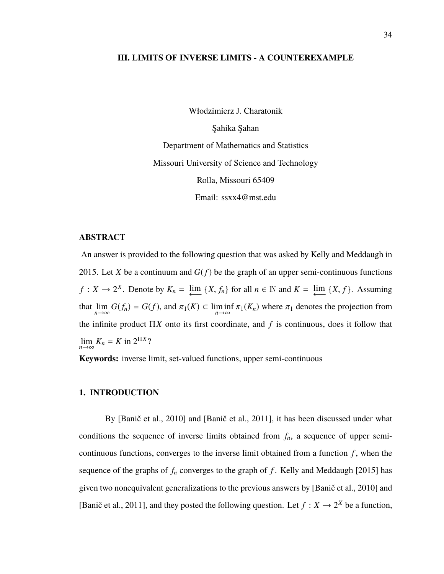## **III. LIMITS OF INVERSE LIMITS - A COUNTEREXAMPLE**

Włodzimierz J. Charatonik

Şahika Şahan Department of Mathematics and Statistics Missouri University of Science and Technology Rolla, Missouri 65409 Email: ssxx4@mst.edu

## **ABSTRACT**

An answer is provided to the following question that was asked by Kelly and Meddaugh in 2015. Let *X* be a continuum and  $G(f)$  be the graph of an upper semi-continuous functions  $f: X \to 2^X$ . Denote by  $K_n = \lim_{\longleftarrow} \{X, f_n\}$  for all  $n \in \mathbb{N}$  and  $K = \lim_{\longleftarrow} \{X, f\}$ . Assuming that  $\lim_{n\to\infty} G(f_n) = G(f)$ , and  $\pi_1(K) \subset \liminf_{n\to\infty} \pi_1(K_n)$  where  $\pi_1$  denotes the projection from the infinite product Π*X* onto its first coordinate, and *f* is continuous, does it follow that  $\lim_{n \to \infty} K_n = K$  in  $2^{\Pi X}$ ?

**Keywords:** inverse limit, set-valued functions, upper semi-continuous

### **1. INTRODUCTION**

By [Banič et al., 2010] and [Banič et al., 2011], it has been discussed under what conditions the sequence of inverse limits obtained from  $f_n$ , a sequence of upper semicontinuous functions, converges to the inverse limit obtained from a function  $f$ , when the sequence of the graphs of  $f_n$  converges to the graph of  $f$ . Kelly and Meddaugh [2015] has given two nonequivalent generalizations to the previous answers by [Banič et al., 2010] and [Banič et al., 2011], and they posted the following question. Let  $f: X \to 2^X$  be a function,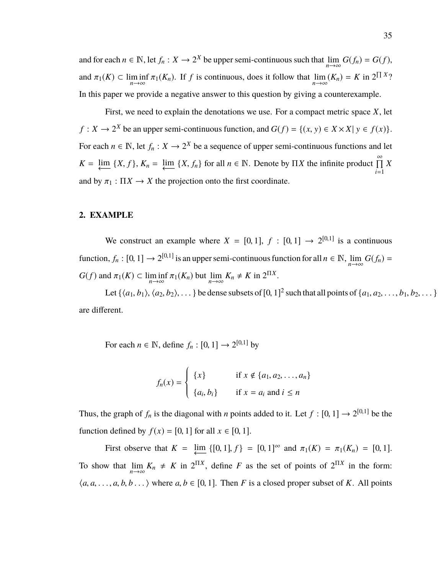and for each  $n \in \mathbb{N}$ , let  $f_n : X \to 2^X$  be upper semi-continuous such that  $\lim_{n \to \infty} G(f_n) = G(f)$ , and  $\pi_1(K) \subset \liminf_{n \to \infty} \pi_1(K_n)$ . If *f* is continuous, does it follow that  $\lim_{n \to \infty} (K_n) = K$  in  $2 \Pi^X$ ? In this paper we provide a negative answer to this question by giving a counterexample.

First, we need to explain the denotations we use. For a compact metric space *X*, let  $f: X \to 2^X$  be an upper semi-continuous function, and  $G(f) = \{(x, y) \in X \times X | y \in f(x)\}.$ For each  $n \in \mathbb{N}$ , let  $f_n: X \to 2^X$  be a sequence of upper semi-continuous functions and let  $K = \lim_{n \to \infty} \{X, f\}$ ,  $K_n = \lim_{n \to \infty} \{X, f_n\}$  for all  $n \in \mathbb{N}$ . Denote by  $\prod X$  the infinite product  $\prod_{i=1}^{\infty}$ *X* and by  $\pi_1 : \Pi X \to X$  the projection onto the first coordinate.

## **2. EXAMPLE**

We construct an example where  $X = [0, 1], f : [0, 1] \rightarrow 2^{[0, 1]}$  is a continuous function,  $f_n : [0, 1] \to 2^{[0,1]}$  is an upper semi-continuous function for all  $n \in \mathbb{N}$ ,  $\lim_{n \to \infty} G(f_n) =$  $G(f)$  and  $\pi_1(K) \subset \liminf_{n \to \infty} \pi_1(K_n)$  but  $\lim_{n \to \infty} K_n \neq K$  in  $2^{\Pi X}$ .

Let  $\{\langle a_1, b_1 \rangle, \langle a_2, b_2 \rangle, \dots\}$  be dense subsets of  $[0, 1]^2$  such that all points of  $\{a_1, a_2, \dots, b_1, b_2, \dots\}$ are different.

For each  $n \in \mathbb{N}$ , define  $f_n : [0, 1] \rightarrow 2^{[0, 1]}$  by

$$
f_n(x) = \begin{cases} \{x\} & \text{if } x \notin \{a_1, a_2, \dots, a_n\} \\ \{a_i, b_i\} & \text{if } x = a_i \text{ and } i \leq n \end{cases}
$$

Thus, the graph of  $f_n$  is the diagonal with *n* points added to it. Let  $f : [0, 1] \rightarrow 2^{[0,1]}$  be the function defined by  $f(x) = [0, 1]$  for all  $x \in [0, 1]$ .

First observe that  $K = \lim_{\leftarrow} \{ [0, 1], f \} = [0, 1]^\infty$  and  $\pi_1(K) = \pi_1(K_n) = [0, 1].$ To show that  $\lim_{n\to\infty} K_n \neq K$  in  $2^{\Pi X}$ , define *F* as the set of points of  $2^{\Pi X}$  in the form:  $\langle a, a, \ldots, a, b, b \ldots \rangle$  where  $a, b \in [0, 1]$ . Then *F* is a closed proper subset of *K*. All points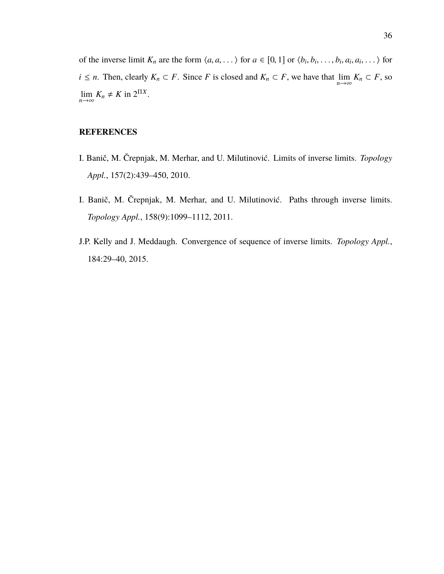of the inverse limit  $K_n$  are the form  $\langle a, a, \dots \rangle$  for  $a \in [0, 1]$  or  $\langle b_i, b_i, \dots, b_i, a_i, a_i, \dots \rangle$  for *i* ≤ *n*. Then, clearly  $K_n \subset F$ . Since *F* is closed and  $K_n \subset F$ , we have that  $\lim_{n\to\infty} K_n \subset F$ , so  $\lim_{n \to \infty} K_n \neq K$  in  $2^{\Pi X}$ .

## **REFERENCES**

- I. Banič, M. Črepnjak, M. Merhar, and U. Milutinović. Limits of inverse limits. *Topology Appl.*, 157(2):439–450, 2010.
- I. Banič, M. Črepnjak, M. Merhar, and U. Milutinović. Paths through inverse limits. *Topology Appl.*, 158(9):1099–1112, 2011.
- J.P. Kelly and J. Meddaugh. Convergence of sequence of inverse limits. *Topology Appl.*, 184:29–40, 2015.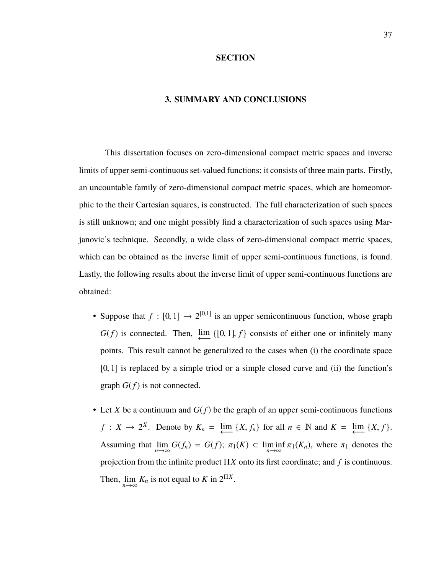#### **SECTION**

### **3. SUMMARY AND CONCLUSIONS**

This dissertation focuses on zero-dimensional compact metric spaces and inverse limits of upper semi-continuous set-valued functions; it consists of three main parts. Firstly, an uncountable family of zero-dimensional compact metric spaces, which are homeomorphic to the their Cartesian squares, is constructed. The full characterization of such spaces is still unknown; and one might possibly find a characterization of such spaces using Marjanovic's technique. Secondly, a wide class of zero-dimensional compact metric spaces, which can be obtained as the inverse limit of upper semi-continuous functions, is found. Lastly, the following results about the inverse limit of upper semi-continuous functions are obtained:

- Suppose that  $f : [0, 1] \rightarrow 2^{[0, 1]}$  is an upper semicontinuous function, whose graph  $G(f)$  is connected. Then,  $\lim_{\longleftarrow} \{[0, 1], f\}$  consists of either one or infinitely many points. This result cannot be generalized to the cases when (i) the coordinate space [0, 1] is replaced by a simple triod or a simple closed curve and (ii) the function's graph  $G(f)$  is not connected.
- Let *X* be a continuum and  $G(f)$  be the graph of an upper semi-continuous functions  $f: X \to 2^X$ . Denote by  $K_n = \lim_{\longleftarrow} \{X, f_n\}$  for all  $n \in \mathbb{N}$  and  $K = \lim_{\longleftarrow} \{X, f\}$ . Assuming that  $\lim_{n \to \infty} G(f_n) = G(f); \ \pi_1(K) \subset \liminf_{n \to \infty} \pi_1(K_n)$ , where  $\pi_1$  denotes the projection from the infinite product Π*X* onto its first coordinate; and *f* is continuous. Then,  $\lim_{n \to \infty} K_n$  is not equal to *K* in  $2^{\Pi X}$ .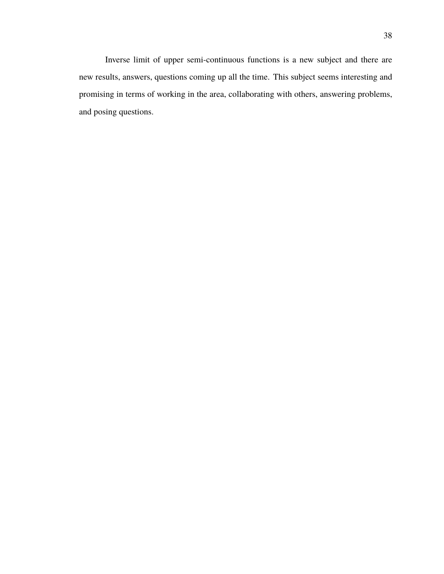Inverse limit of upper semi-continuous functions is a new subject and there are new results, answers, questions coming up all the time. This subject seems interesting and promising in terms of working in the area, collaborating with others, answering problems, and posing questions.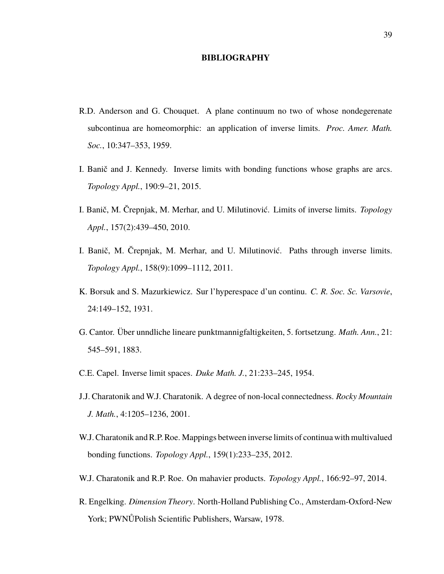#### **BIBLIOGRAPHY**

- R.D. Anderson and G. Chouquet. A plane continuum no two of whose nondegerenate subcontinua are homeomorphic: an application of inverse limits. *Proc. Amer. Math. Soc.*, 10:347–353, 1959.
- I. Banič and J. Kennedy. Inverse limits with bonding functions whose graphs are arcs. *Topology Appl.*, 190:9–21, 2015.
- I. Banič, M. Črepnjak, M. Merhar, and U. Milutinović. Limits of inverse limits. *Topology Appl.*, 157(2):439–450, 2010.
- I. Banič, M. Črepnjak, M. Merhar, and U. Milutinović. Paths through inverse limits. *Topology Appl.*, 158(9):1099–1112, 2011.
- K. Borsuk and S. Mazurkiewicz. Sur l'hyperespace d'un continu. *C. R. Soc. Sc. Varsovie*, 24:149–152, 1931.
- G. Cantor. Über unndliche lineare punktmannigfaltigkeiten, 5. fortsetzung. *Math. Ann.*, 21: 545–591, 1883.
- C.E. Capel. Inverse limit spaces. *Duke Math. J.*, 21:233–245, 1954.
- J.J. Charatonik and W.J. Charatonik. A degree of non-local connectedness. *Rocky Mountain J. Math.*, 4:1205–1236, 2001.
- W.J. Charatonik and R.P. Roe. Mappings between inverse limits of continua with multivalued bonding functions. *Topology Appl.*, 159(1):233–235, 2012.
- W.J. Charatonik and R.P. Roe. On mahavier products. *Topology Appl.*, 166:92–97, 2014.
- R. Engelking. *Dimension Theory*. North-Holland Publishing Co., Amsterdam-Oxford-New York; PWNŮPolish Scientific Publishers, Warsaw, 1978.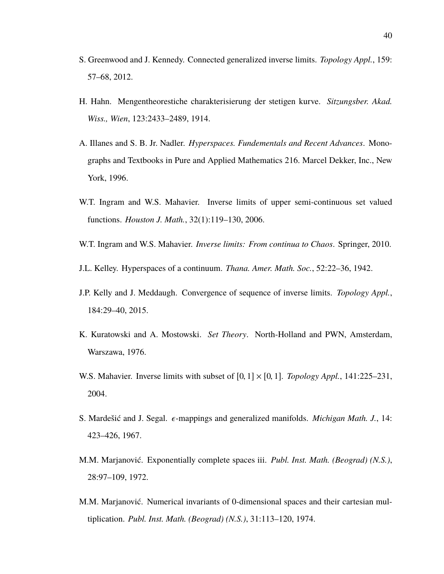- S. Greenwood and J. Kennedy. Connected generalized inverse limits. *Topology Appl.*, 159: 57–68, 2012.
- H. Hahn. Mengentheorestiche charakterisierung der stetigen kurve. *Sitzungsber. Akad. Wiss., Wien*, 123:2433–2489, 1914.
- A. Illanes and S. B. Jr. Nadler. *Hyperspaces. Fundementals and Recent Advances*. Monographs and Textbooks in Pure and Applied Mathematics 216. Marcel Dekker, Inc., New York, 1996.
- W.T. Ingram and W.S. Mahavier. Inverse limits of upper semi-continuous set valued functions. *Houston J. Math.*, 32(1):119–130, 2006.
- W.T. Ingram and W.S. Mahavier. *Inverse limits: From continua to Chaos*. Springer, 2010.
- J.L. Kelley. Hyperspaces of a continuum. *Thana. Amer. Math. Soc.*, 52:22–36, 1942.
- J.P. Kelly and J. Meddaugh. Convergence of sequence of inverse limits. *Topology Appl.*, 184:29–40, 2015.
- K. Kuratowski and A. Mostowski. *Set Theory*. North-Holland and PWN, Amsterdam, Warszawa, 1976.
- W.S. Mahavier. Inverse limits with subset of  $[0, 1] \times [0, 1]$ . *Topology Appl.*, 141:225–231, 2004.
- S. Mardešić and J. Segal.  $\epsilon$ -mappings and generalized manifolds. *Michigan Math. J.*, 14: 423–426, 1967.
- M.M. Marjanović. Exponentially complete spaces iii. *Publ. Inst. Math. (Beograd) (N.S.)*, 28:97–109, 1972.
- M.M. Marjanović. Numerical invariants of 0-dimensional spaces and their cartesian multiplication. *Publ. Inst. Math. (Beograd) (N.S.)*, 31:113–120, 1974.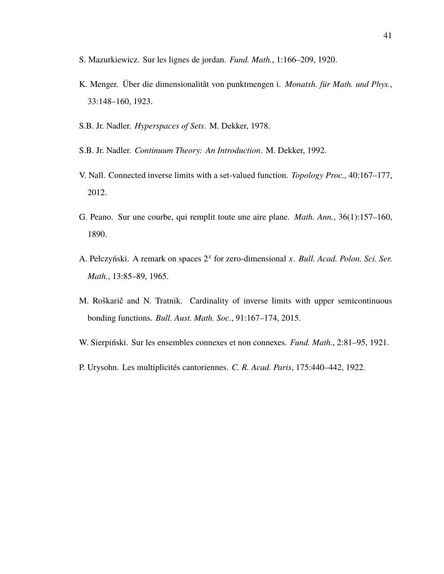- S. Mazurkiewicz. Sur les lignes de jordan. *Fund. Math.*, 1:166–209, 1920.
- K. Menger. Über die dimensionalităt von punktmengen i. *Monatsh. für Math. und Phys.*, 33:148–160, 1923.
- S.B. Jr. Nadler. *Hyperspaces of Sets*. M. Dekker, 1978.
- S.B. Jr. Nadler. *Continuum Theory: An Introduction*. M. Dekker, 1992.
- V. Nall. Connected inverse limits with a set-valued function. *Topology Proc.*, 40:167–177, 2012.
- G. Peano. Sur une courbe, qui remplit toute une aire plane. *Math. Ann.*, 36(1):157–160, 1890.
- A. Pełczyński. A remark on spaces 2 *x* for zero-dimensional *x*. *Bull. Acad. Polon. Sci. Ser. Math.*, 13:85–89, 1965.
- M. Roškarič and N. Tratnik. Cardinality of inverse limits with upper semicontinuous bonding functions. *Bull. Aust. Math. Soc.*, 91:167–174, 2015.
- W. Sierpiński. Sur les ensembles connexes et non connexes. *Fund. Math.*, 2:81–95, 1921.
- P. Urysohn. Les multiplicités cantoriennes. *C. R. Acad. Paris*, 175:440–442, 1922.